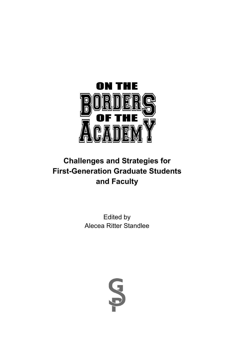

## **Challenges and Strategies for First-Generation Graduate Students and Faculty**

Edited by Alecea Ritter Standlee

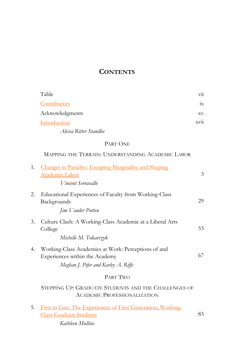## **CONTENTS**

| Table                  | <br>V11                  |
|------------------------|--------------------------|
| Contributors           | 1X                       |
| Acknowledgments        | XV                       |
| Introduction           | $\cdot$ .<br><b>XV11</b> |
| Alecea Ritter Standlee |                          |

#### PART ONE

### MAPPING THE TERRAIN: UNDERSTANDING ACADEMIC LABOR

| 1. | <b>Changer in Paradise: Escaping Marginality and Shaping</b><br><b>Academic Labor</b><br>Vincent Serravallo                  | 3  |
|----|------------------------------------------------------------------------------------------------------------------------------|----|
|    |                                                                                                                              |    |
| 2. | Educational Experiences of Faculty from Working-Class<br>Backgrounds                                                         | 29 |
|    | <i>Jim Vander Putten</i>                                                                                                     |    |
| 3. | Culture Clash: A Working-Class Academic at a Liberal Arts<br>College                                                         | 53 |
|    | Michelle M. Tokarczyk                                                                                                        |    |
| 4. | Working-Class Academics at Work: Perceptions of and<br>Experiences within the Academy<br>Meghan J. Pifer and Karley A. Riffe | 67 |
|    | PART TWO                                                                                                                     |    |
|    | STEPPING UP: GRADUATE STUDENTS AND THE CHALLENGES OF<br><b>ACADEMIC PROFESSIONALIZATION</b>                                  |    |

| 5. First in Line: The Experiences of First-Generation, Working- |  |
|-----------------------------------------------------------------|--|
| Class Graduate Students                                         |  |
| Kathleen Mullins                                                |  |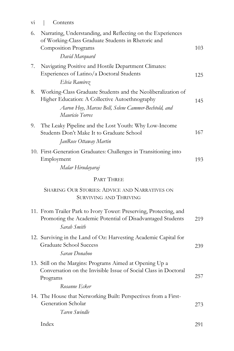| V1 | Contents                                                                                                                                                                                 |     |
|----|------------------------------------------------------------------------------------------------------------------------------------------------------------------------------------------|-----|
| 6. | Narrating, Understanding, and Reflecting on the Experiences<br>of Working-Class Graduate Students in Rhetoric and<br><b>Composition Programs</b><br>David Marquard                       | 103 |
| 7. | Navigating Positive and Hostile Department Climates:<br>Experiences of Latino/a Doctoral Students<br>Elvia Ramirez                                                                       | 125 |
| 8. | Working-Class Graduate Students and the Neoliberalization of<br>Higher Education: A Collective Autoethnography<br>Aaron Hoy, Marcus Bell, Selene Cammer-Bechtold, and<br>Mauricio Torres | 145 |
| 9. | The Leaky Pipeline and the Lost Youth: Why Low-Income<br>Students Don't Make It to Graduate School<br>JanRose Ottaway Martin                                                             | 167 |
|    | 10. First-Generation Graduates: Challenges in Transitioning into<br>Employment<br>Malar Hirudayaraj                                                                                      | 193 |
|    | <b>PART THREE</b>                                                                                                                                                                        |     |
|    | SHARING OUR STORIES: ADVICE AND NARRATIVES ON<br><b>SURVIVING AND THRIVING</b>                                                                                                           |     |
|    | 11. From Trailer Park to Ivory Tower: Preserving, Protecting, and<br>Promoting the Academic Potential of Disadvantaged Students<br>Sarah Smith                                           | 219 |
|    | 12. Surviving in the Land of Oz: Harvesting Academic Capital for<br><b>Graduate School Success</b><br>Saran Donahoo                                                                      | 239 |
|    | 13. Still on the Margins: Programs Aimed at Opening Up a<br>Conversation on the Invisible Issue of Social Class in Doctoral<br>Programs<br>Rosanne Ecker                                 | 257 |
|    | 14. The House that Networking Built: Perspectives from a First-<br>Generation Scholar<br>Taren Swindle                                                                                   | 273 |

| Index | 291 |
|-------|-----|
|-------|-----|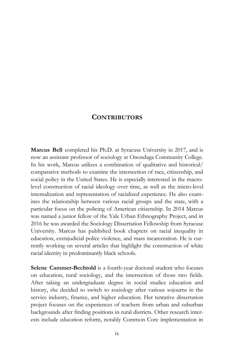#### <span id="page-3-0"></span>**CONTRIBUTORS**

**Marcus Bell** completed his Ph.D. at Syracuse University in 2017, and is now an assistant professor of sociology at Onondaga Community College. In his work, Marcus utilizes a combination of qualitative and historical/ comparative methods to examine the intersection of race, citizenship, and social policy in the United States. He is especially interested in the macrolevel construction of racial ideology over time, as well as the micro-level internalization and representation of racialized experience. He also examines the relationship between various racial groups and the state, with a particular focus on the policing of American citizenship. In 2014 Marcus was named a junior fellow of the Yale Urban Ethnography Project, and in 2016 he was awarded the Sociology Dissertation Fellowship from Syracuse University. Marcus has published book chapters on racial inequality in education, extrajudicial police violence, and mass incarceration. He is currently working on several articles that highlight the construction of white racial identity in predominantly black schools.

**Selene Cammer-Bechtold** is a fourth-year doctoral student who focuses on education, rural sociology, and the intersection of those two fields. After taking an undergraduate degree in social studies education and history, she decided to switch to sociology after various sojourns in the service industry, finance, and higher education. Her tentative dissertation project focuses on the experiences of teachers from urban and suburban backgrounds after finding positions in rural districts. Other research interests include education reform, notably Common Core implementation in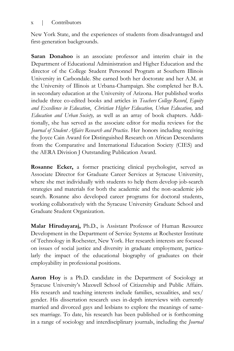New York State, and the experiences of students from disadvantaged and first-generation backgrounds.

**Saran Donahoo** is an associate professor and interim chair in the Department of Educational Administration and Higher Education and the director of the College Student Personnel Program at Southern Illinois University in Carbondale. She earned both her doctorate and her A.M. at the University of Illinois at Urbana-Champaign. She completed her B.A. in secondary education at the University of Arizona. Her published works include three co-edited books and articles in *Teachers College Record*, *Equity and Excellence in Education*, *Christian Higher Education, Urban Education,* and *Education and Urban Society,* as well as an array of book chapters. Additionally, she has served as the associate editor for media reviews for the *Journal of Student Affairs Research and Practice*. Her honors including receiving the Joyce Cain Award for Distinguished Research on African Descendants from the Comparative and International Education Society (CIES) and the AERA Division J Outstanding Publication Award.

**Rosanne Ecker,** a former practicing clinical psychologist, served as Associate Director for Graduate Career Services at Syracuse University, where she met individually with students to help them develop job-search strategies and materials for both the academic and the non-academic job search. Rosanne also developed career programs for doctoral students, working collaboratively with the Syracuse University Graduate School and Graduate Student Organization.

**Malar Hirudayaraj,** Ph.D., is Assistant Professor of Human Resource Development in the Department of Service Systems at Rochester Institute of Technology in Rochester, New York. Her research interests are focused on issues of social justice and diversity in graduate employment, particularly the impact of the educational biography of graduates on their employability in professional positions.

**Aaron Hoy** is a Ph.D. candidate in the Department of Sociology at Syracuse University's Maxwell School of Citizenship and Public Affairs. His research and teaching interests include families, sexualities, and sex/ gender. His dissertation research uses in-depth interviews with currently married and divorced gays and lesbians to explore the meanings of samesex marriage. To date, his research has been published or is forthcoming in a range of sociology and interdisciplinary journals, including the *Journal*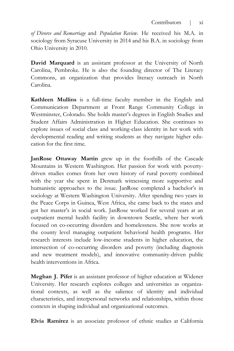*of Divorce and Remarriage* and *Population Review*. He received his M.A. in sociology from Syracuse University in 2014 and his B.A. in sociology from Ohio University in 2010.

**David Marquard** is an assistant professor at the University of North Carolina, Pembroke. He is also the founding director of The Literacy Commons, an organization that provides literacy outreach in North Carolina.

**Kathleen Mullins** is a full-time faculty member in the English and Communication Department at Front Range Community College in Westminster, Colorado. She holds master's degrees in English Studies and Student Affairs Administration in Higher Education. She continues to explore issues of social class and working-class identity in her work with developmental reading and writing students as they navigate higher education for the first time.

**JanRose Ottaway Martin** grew up in the foothills of the Cascade Mountains in Western Washington. Her passion for work with povertydriven studies comes from her own history of rural poverty combined with the year she spent in Denmark witnessing more supportive and humanistic approaches to the issue. JanRose completed a bachelor's in sociology at Western Washington University. After spending two years in the Peace Corps in Guinea, West Africa, she came back to the states and got her master's in social work. JanRose worked for several years at an outpatient mental health facility in downtown Seattle, where her work focused on co-occurring disorders and homelessness. She now works at the county level managing outpatient behavioral health programs. Her research interests include low-income students in higher education, the intersection of co-occurring disorders and poverty (including diagnosis and new treatment models), and innovative community-driven public health interventions in Africa.

**Meghan J. Pifer** is an assistant professor of higher education at Widener University. Her research explores colleges and universities as organizational contexts, as well as the salience of identity and individual characteristics, and interpersonal networks and relationships, within those contexts in shaping individual and organizational outcomes.

**Elvia Ramirez** is an associate professor of ethnic studies at California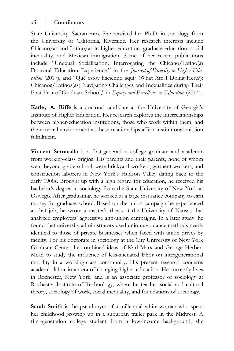State University, Sacramento. She received her Ph.D. in sociology from the University of California, Riverside. Her research interests include Chicano/as and Latino/as in higher education, graduate education, social inequality, and Mexican immigration. Some of her recent publications include "Unequal Socialization: Interrogating the Chicano/Latino(a) Doctoral Education Experience," in the *Journal of Diversity in Higher Education* (2017), and "Qué estoy haciendo aquí? (What Am I Doing Here?): Chicanos/Latinos(as) Navigating Challenges and Inequalities during Their First Year of Graduate School," in *Equity and Excellence in Education* (2014).

**Karley A. Riffe** is a doctoral candidate at the University of Georgia's Institute of Higher Education. Her research explores the interrelationships between higher-education institutions, those who work within them, and the external environment as these relationships affect institutional mission fulfillment.

**Vincent Serravallo** is a first-generation college graduate and academic from working-class origins. His parents and their parents, none of whom went beyond grade school, were brickyard workers, garment workers, and construction laborers in New York's Hudson Valley dating back to the early 1900s. Brought up with a high regard for education, he received his bachelor's degree in sociology from the State University of New York at Oswego. After graduating, he worked at a large insurance company to earn money for graduate school. Based on the union campaign he experienced at that job, he wrote a master's thesis at the University of Kansas that analyzed employers' aggressive anti-union campaigns. In a later study, he found that university administrators used union-avoidance methods nearly identical to those of private businesses when faced with union drives by faculty. For his doctorate in sociology at the City University of New York Graduate Center, he combined ideas of Karl Marx and George Herbert Mead to study the influence of less-alienated labor on intergenerational mobility in a working-class community. His present research concerns academic labor in an era of changing higher education. He currently lives in Rochester, New York, and is an associate professor of sociology at Rochester Institute of Technology, where he teaches social and cultural theory, sociology of work, social inequality, and foundations of sociology.

**Sarah Smith** is the pseudonym of a millennial white woman who spent her childhood growing up in a suburban trailer park in the Midwest. A first-generation college student from a low-income background, she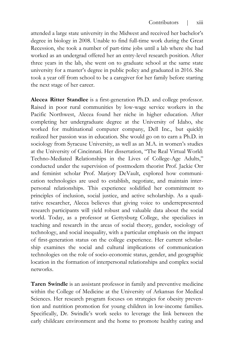attended a large state university in the Midwest and received her bachelor's degree in biology in 2008. Unable to find full-time work during the Great Recession, she took a number of part-time jobs until a lab where she had worked as an undergrad offered her an entry-level research position. After three years in the lab, she went on to graduate school at the same state university for a master's degree in public policy and graduated in 2016. She took a year off from school to be a caregiver for her family before starting the next stage of her career.

**Alecea Ritter Standlee** is a first-generation Ph.D. and college professor. Raised in poor rural communities by low-wage service workers in the Pacific Northwest, Alecea found her niche in higher education. After completing her undergraduate degree at the University of Idaho, she worked for multinational computer company, Dell Inc., but quickly realized her passion was in education. She would go on to earn a Ph.D. in sociology from Syracuse University, as well as an M.A. in women's studies at the University of Cincinnati. Her dissertation, "The Real Virtual World: Techno-Mediated Relationships in the Lives of College-Age Adults," conducted under the supervision of postmodern theorist Prof. Jackie Orr and feminist scholar Prof. Marjory DeVault, explored how communication technologies are used to establish, negotiate, and maintain interpersonal relationships. This experience solidified her commitment to principles of inclusion, social justice, and active scholarship. As a qualitative researcher, Alecea believes that giving voice to underrepresented research participants will yield robust and valuable data about the social world. Today, as a professor at Gettysburg College, she specializes in teaching and research in the areas of social theory, gender, sociology of technology, and social inequality, with a particular emphasis on the impact of first-generation status on the college experience. Her current scholarship examines the social and cultural implications of communication technologies on the role of socio-economic status, gender, and geographic location in the formation of interpersonal relationships and complex social networks.

**Taren Swindle** is an assistant professor in family and preventive medicine within the College of Medicine at the University of Arkansas for Medical Sciences. Her research program focuses on strategies for obesity prevention and nutrition promotion for young children in low-income families. Specifically, Dr. Swindle's work seeks to leverage the link between the early childcare environment and the home to promote healthy eating and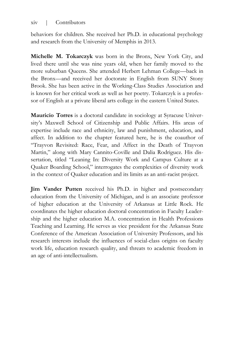#### xiv | Contributors

behaviors for children. She received her Ph.D. in educational psychology and research from the University of Memphis in 2013.

**Michelle M. Tokarczyk** was born in the Bronx, New York City, and lived there until she was nine years old, when her family moved to the more suburban Queens. She attended Herbert Lehman College—back in the Bronx—and received her doctorate in English from SUNY Stony Brook. She has been active in the Working-Class Studies Association and is known for her critical work as well as her poetry. Tokarczyk is a professor of English at a private liberal arts college in the eastern United States.

**Mauricio Torres** is a doctoral candidate in sociology at Syracuse University's Maxwell School of Citizenship and Public Affairs. His areas of expertise include race and ethnicity, law and punishment, education, and affect. In addition to the chapter featured here, he is the coauthor of "Trayvon Revisited: Race, Fear, and Affect in the Death of Trayvon Martin," along with Mary Cannito-Coville and Dalia Rodriguez. His dissertation, titled "Leaning In: Diversity Work and Campus Culture at a Quaker Boarding School," interrogates the complexities of diversity work in the context of Quaker education and its limits as an anti-racist project.

**Jim Vander Putten** received his Ph.D. in higher and postsecondary education from the University of Michigan, and is an associate professor of higher education at the University of Arkansas at Little Rock. He coordinates the higher education doctoral concentration in Faculty Leadership and the higher education M.A. concentration in Health Professions Teaching and Learning. He serves as vice president for the Arkansas State Conference of the American Association of University Professors, and his research interests include the influences of social-class origins on faculty work life, education research quality, and threats to academic freedom in an age of anti-intellectualism.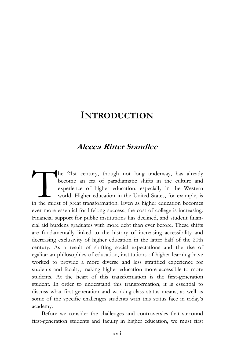## <span id="page-9-0"></span>**INTRODUCTION**

## **Alecea Ritter Standlee**

The 21st century, though not long underway, has already become an era of paradigmatic shifts in the culture and experience of higher education, especially in the Western world. Higher education in the United States, for ex he 21st century, though not long underway, has already become an era of paradigmatic shifts in the culture and experience of higher education, especially in the Western world. Higher education in the United States, for example, is ever more essential for lifelong success, the cost of college is increasing. Financial support for public institutions has declined, and student financial aid burdens graduates with more debt than ever before. These shifts are fundamentally linked to the history of increasing accessibility and decreasing exclusivity of higher education in the latter half of the 20th century. As a result of shifting social expectations and the rise of egalitarian philosophies of education, institutions of higher learning have worked to provide a more diverse and less stratified experience for students and faculty, making higher education more accessible to more students. At the heart of this transformation is the first-generation student. In order to understand this transformation, it is essential to discuss what first-generation and working-class status means, as well as some of the specific challenges students with this status face in today's academy.

Before we consider the challenges and controversies that surround first-generation students and faculty in higher education, we must first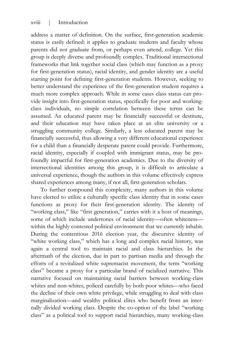address a matter of definition. On the surface, first-generation academic status is easily defined: it applies to graduate students and faculty whose parents did not graduate from, or perhaps even attend, college. Yet this group is deeply diverse and profoundly complex. Traditional intersectional frameworks that link together social class (which may function as a proxy for first-generation status), racial identity, and gender identity are a useful starting point for defining first-generation students. However, seeking to better understand the experience of the first-generation student requires a much more complex approach. While in some cases class status can provide insight into first-generation status, specifically for poor and workingclass individuals, no simple correlation between these terms can be assumed. An educated parent may be financially successful or destitute, and their education may have taken place at an elite university or a struggling community college. Similarly, a less educated parent may be financially successful, thus allowing a very different educational experience for a child than a financially desperate parent could provide. Furthermore, racial identity, especially if coupled with immigrant status, may be profoundly impactful for first-generation academics. Due to the diversity of intersectional identities among this group, it is difficult to articulate a universal experience, though the authors in this volume effectively express shared experiences among many, if not all, first-generation scholars.

To further compound this complexity, many authors in this volume have elected to utilize a culturally specific class identity that in some cases functions as proxy for their first-generation identity. The identity of "working class," like "first generation," carries with it a host of meanings, some of which include undertones of racial identity—often whiteness within the highly contested political environment that we currently inhabit. During the contentious 2016 election year, the discursive identity of "white working class," which has a long and complex racial history, was again a central tool to maintain racial and class hierarchies. In the aftermath of the election, due in part to partisan media and through the efforts of a revitalized white supremacist movement, the term "working class" became a proxy for a particular brand of racialized narrative. This narrative focused on maintaining racial barriers between working-class whites and non-whites, policed carefully by both poor whites—who faced the decline of their own white privilege, while struggling to deal with class marginalization—and wealthy political elites who benefit from an internally divided working class. Despite the co-option of the label "working class" as a political tool to support racial hierarchies, many working-class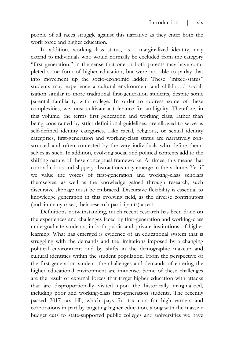people of all races struggle against this narrative as they enter both the work force and higher education.

In addition, working-class status, as a marginalized identity, may extend to individuals who would normally be excluded from the category "first generation," in the sense that one or both parents may have completed some form of higher education, but were not able to parlay that into movement up the socio-economic ladder. These "mixed-status" students may experience a cultural environment and childhood socialization similar to more traditional first-generation students, despite some parental familiarity with college. In order to address some of these complexities, we must cultivate a tolerance for ambiguity. Therefore, in this volume, the terms first generation and working class, rather than being constrained by strict definitional guidelines, are allowed to serve as self-defined identity categories. Like racial, religious, or sexual identity categories, first-generation and working-class status are narratively constructed and often contested by the very individuals who define themselves as such. In addition, evolving social and political contexts add to the shifting nature of these conceptual frameworks. At times, this means that contradictions and slippery abstractions may emerge in the volume. Yet if we value the voices of first-generation and working-class scholars themselves, as well as the knowledge gained through research, such discursive slippage must be embraced. Discursive flexibility is essential to knowledge generation in this evolving field, as the diverse contributors (and, in many cases, their research participants) attest.

Definitions notwithstanding, much recent research has been done on the experiences and challenges faced by first-generation and working-class undergraduate students, in both public and private institutions of higher learning. What has emerged is evidence of an educational system that is struggling with the demands and the limitations imposed by a changing political environment and by shifts in the demographic makeup and cultural identities within the student population. From the perspective of the first-generation student, the challenges and demands of entering the higher educational environment are immense. Some of these challenges are the result of external forces that target higher education with attacks that are disproportionally visited upon the historically marginalized, including poor and working-class first-generation students. The recently passed 2017 tax bill, which pays for tax cuts for high earners and corporations in part by targeting higher education, along with the massive budget cuts to state-supported public colleges and universities we have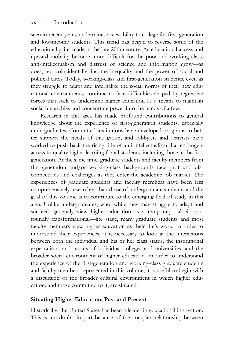seen in recent years, undermines accessibility to college for first-generation and low-income students. This trend has begun to reverse some of the educational gains made in the late 20th century. As educational access and upward mobility become more difficult for the poor and working class, anti-intellectualism and distrust of science and information grow—as does, not coincidentally, income inequality and the power of social and political elites. Today, working-class and first-generation students, even as they struggle to adapt and internalize the social norms of their new educational environments, continue to face difficulties shaped by regressive forces that seek to undermine higher education as a means to maintain social hierarchies and concentrate power into the hands of a few.

Research in this area has made profound contributions to general knowledge about the experience of first-generation students, especially undergraduates. Committed institutions have developed programs to better support the needs of this group, and lobbyists and activists have worked to push back the rising tide of anti-intellectualism that endangers access to quality higher learning for all students, including those in the first generation. At the same time, graduate students and faculty members from first-generation and/or working-class backgrounds face profound disconnections and challenges as they enter the academic job market. The experiences of graduate students and faculty members have been less comprehensively researched than those of undergraduate students, and the goal of this volume is to contribute to the emerging field of study in this area. Unlike undergraduates, who, while they may struggle to adapt and succeed, generally view higher education as a temporary—albeit profoundly transformational—life stage, many graduate students and most faculty members view higher education as their life's work. In order to understand their experiences, it is necessary to look at the interactions between both the individual and his or her class status, the institutional expectations and norms of individual colleges and universities, and the broader social environment of higher education. In order to understand the experience of the first-generation and working-class graduate students and faculty members represented in this volume, it is useful to begin with a discussion of the broader cultural environment in which higher education, and those committed to it, are situated.

#### **Situating Higher Education, Past and Present**

Historically, the United States has been a leader in educational innovation. This is, no doubt, in part because of the complex relationship between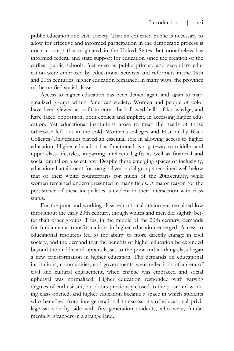public education and civil society. That an educated public is necessary to allow for effective and informed participation in the democratic process is not a concept that originated in the United States, but nonetheless has informed federal and state support for education since the creation of the earliest public schools. Yet even as public primary and secondary education were embraced by educational activists and reformers in the 19th and 20th centuries, higher education remained, in many ways, the province of the rarified social classes.

Access to higher education has been denied again and again to marginalized groups within American society. Women and people of color have been viewed as unfit to enter the hallowed halls of knowledge, and have faced opposition, both explicit and implicit, in accessing higher education. Yet educational institutions arose to meet the needs of those otherwise left out in the cold. Women's colleges and Historically Black Colleges/Universities played an essential role in allowing access to higher education. Higher education has functioned as a gateway to middle- and upper-class lifestyles, imparting intellectual gifts as well as financial and social capital on a select few. Despite these emerging spaces of inclusivity, educational attainment for marginalized racial groups remained well below that of their white counterparts for much of the 20thcentury, while women remained underrepresented in many fields. A major reason for the persistence of these inequalities is evident in their intersection with class status.

For the poor and working class, educational attainment remained low throughout the early 20th century, though whites and men did slightly better than other groups. Thus, in the middle of the 20th century, demands for fundamental transformations in higher education emerged. Access to educational resources led to the ability to more directly engage in civil society, and the demand that the benefits of higher education be extended beyond the middle and upper classes to the poor and working class began a new transformation in higher education. The demands on educational institutions, communities, and governments were reflections of an era of civil and cultural engagement, when change was embraced and social upheaval was normalized. Higher education responded with varying degrees of enthusiasm, but doors previously closed to the poor and working class opened, and higher education became a space in which students who benefited from intergenerational transmissions of educational privilege sat side by side with first-generation students, who were, fundamentally, strangers in a strange land.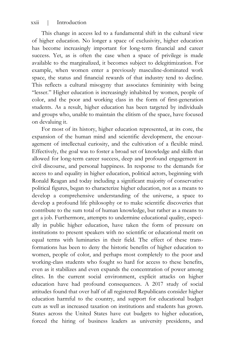#### xxii | Introduction

This change in access led to a fundamental shift in the cultural view of higher education. No longer a space of exclusivity, higher education has become increasingly important for long-term financial and career success. Yet, as is often the case when a space of privilege is made available to the marginalized, it becomes subject to delegitimization. For example, when women enter a previously masculine-dominated work space, the status and financial rewards of that industry tend to decline. This reflects a cultural misogyny that associates femininity with being "lesser." Higher education is increasingly inhabited by women, people of color, and the poor and working class in the form of first-generation students. As a result, higher education has been targeted by individuals and groups who, unable to maintain the elitism of the space, have focused on devaluing it.

For most of its history, higher education represented, at its core, the expansion of the human mind and scientific development, the encouragement of intellectual curiosity, and the cultivation of a flexible mind. Effectively, the goal was to foster a broad set of knowledge and skills that allowed for long-term career success, deep and profound engagement in civil discourse, and personal happiness. In response to the demands for access to and equality in higher education, political actors, beginning with Ronald Reagan and today including a significant majority of conservative political figures, began to characterize higher education, not as a means to develop a comprehensive understanding of the universe, a space to develop a profound life philosophy or to make scientific discoveries that contribute to the sum total of human knowledge, but rather as a means to get a job. Furthermore, attempts to undermine educational quality, especially in public higher education, have taken the form of pressure on institutions to present speakers with no scientific or educational merit on equal terms with luminaries in their field. The effect of these transformations has been to deny the historic benefits of higher education to women, people of color, and perhaps most completely to the poor and working-class students who fought so hard for access to these benefits, even as it stabilizes and even expands the concentration of power among elites. In the current social environment, explicit attacks on higher education have had profound consequences. A 2017 study of social attitudes found that over half of all registered Republicans consider higher education harmful to the country, and support for educational budget cuts as well as increased taxation on institutions and students has grown. States across the United States have cut budgets to higher education, forced the hiring of business leaders as university presidents, and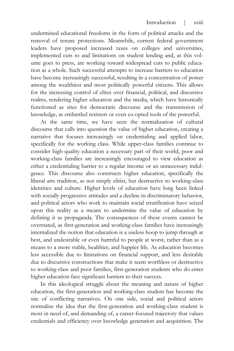undermined educational freedoms in the form of political attacks and the removal of tenure protections. Meanwhile, current federal government leaders have proposed increased taxes on colleges and universities, implemented cuts to and limitations on student lending and, as this volume goes to press, are working toward widespread cuts to public education as a whole. Such successful attempts to increase barriers to education have become increasingly successful, resulting in a concentration of power among the wealthiest and most politically powerful citizens. This allows for the increasing control of elites over financial, political, and discursive realms, rendering higher education and the media, which have historically functioned as sites for democratic discourse and the transmission of knowledge, as embattled resisters or even co-opted tools of the powerful.

At the same time, we have seen the normalization of cultural discourse that calls into question the value of higher education, creating a narrative that focuses increasingly on credentialing and applied labor, specifically for the working class. While upper-class families continue to consider high-quality education a necessary part of their world, poor and working-class families are increasingly encouraged to view education as either a credentialing barrier to a regular income or an unnecessary indulgence. This discourse also constructs higher education, specifically the liberal arts tradition, as not simply elitist, but destructive to working-class identities and culture. Higher levels of education have long been linked with socially progressive attitudes and a decline in discriminatory behavior, and political actors who work to maintain social stratification have seized upon this reality as a means to undermine the value of education by defining it as propaganda. The consequences of these events cannot be overstated, as first-generation and working-class families have increasingly internalized the notion that education is a useless hoop to jump through at best, and undesirable or even harmful to people at worst, rather than as a means to a more stable, healthier, and happier life. As education becomes less accessible due to limitations on financial support, and less desirable due to discursive constructions that make it seem worthless or destructive to working-class and poor families, first-generation students who do enter higher education face significant barriers to their success.

In this ideological struggle about the meaning and nature of higher education, the first-generation and working-class student has become the site of conflicting narratives. On one side, social and political actors normalize the idea that the first-generation and working-class student is most in need of, and demanding of, a career-focused trajectory that values credentials and efficiency over knowledge generation and acquisition. The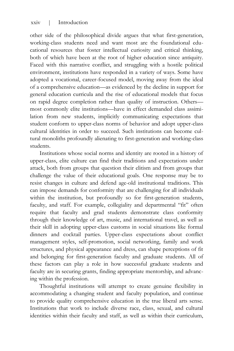other side of the philosophical divide argues that what first-generation, working-class students need and want most are the foundational educational resources that foster intellectual curiosity and critical thinking, both of which have been at the root of higher education since antiquity. Faced with this narrative conflict, and struggling with a hostile political environment, institutions have responded in a variety of ways. Some have adopted a vocational, career-focused model, moving away from the ideal of a comprehensive education—as evidenced by the decline in support for general education curricula and the rise of educational models that focus on rapid degree completion rather than quality of instruction. Others most commonly elite institutions—have in effect demanded class assimilation from new students, implicitly communicating expectations that student conform to upper-class norms of behavior and adopt upper-class cultural identities in order to succeed. Such institutions can become cultural monoliths profoundly alienating to first-generation and working-class students.

Institutions whose social norms and identity are rooted in a history of upper-class, elite culture can find their traditions and expectations under attack, both from groups that question their elitism and from groups that challenge the value of their educational goals. One response may be to resist changes in culture and defend age-old institutional traditions. This can impose demands for conformity that are challenging for all individuals within the institution, but profoundly so for first-generation students, faculty, and staff. For example, collegiality and departmental "fit" often require that faculty and grad students demonstrate class conformity through their knowledge of art, music, and international travel, as well as their skill in adopting upper-class customs in social situations like formal dinners and cocktail parties. Upper-class expectations about conflict management styles, self-promotion, social networking, family and work structures, and physical appearance and dress, can shape perceptions of fit and belonging for first-generation faculty and graduate students. All of these factors can play a role in how successful graduate students and faculty are in securing grants, finding appropriate mentorship, and advancing within the profession.

Thoughtful institutions will attempt to create genuine flexibility in accommodating a changing student and faculty population, and continue to provide quality comprehensive education in the true liberal arts sense. Institutions that work to include diverse race, class, sexual, and cultural identities within their faculty and staff, as well as within their curriculum,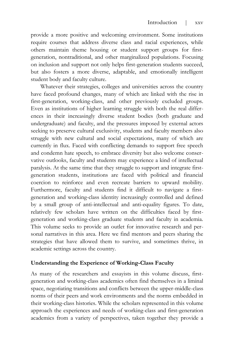provide a more positive and welcoming environment. Some institutions require courses that address diverse class and racial experiences, while others maintain theme housing or student support groups for firstgeneration, nontraditional, and other marginalized populations. Focusing on inclusion and support not only helps first-generation students succeed, but also fosters a more diverse, adaptable, and emotionally intelligent student body and faculty culture.

Whatever their strategies, colleges and universities across the country have faced profound changes, many of which are linked with the rise in first-generation, working-class, and other previously excluded groups. Even as institutions of higher learning struggle with both the real differences in their increasingly diverse student bodies (both graduate and undergraduate) and faculty, and the pressures imposed by external actors seeking to preserve cultural exclusivity, students and faculty members also struggle with new cultural and social expectations, many of which are currently in flux. Faced with conflicting demands to support free speech and condemn hate speech, to embrace diversity but also welcome conservative outlooks, faculty and students may experience a kind of intellectual paralysis. At the same time that they struggle to support and integrate firstgeneration students, institutions are faced with political and financial coercion to reinforce and even recreate barriers to upward mobility. Furthermore, faculty and students find it difficult to navigate a firstgeneration and working-class identity increasingly controlled and defined by a small group of anti-intellectual and anti-equality figures. To date, relatively few scholars have written on the difficulties faced by firstgeneration and working-class graduate students and faculty in academia. This volume seeks to provide an outlet for innovative research and personal narratives in this area. Here we find mentors and peers sharing the strategies that have allowed them to survive, and sometimes thrive, in academic settings across the country.

#### **Understanding the Experience of Working-Class Faculty**

As many of the researchers and essayists in this volume discuss, firstgeneration and working-class academics often find themselves in a liminal space, negotiating transitions and conflicts between the upper-middle-class norms of their peers and work environments and the norms embedded in their working-class histories. While the scholars represented in this volume approach the experiences and needs of working-class and first-generation academics from a variety of perspectives, taken together they provide a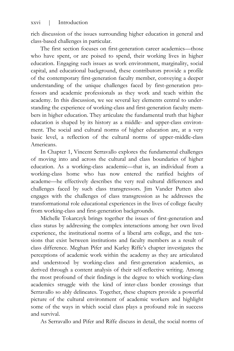#### xxvi | Introduction

rich discussion of the issues surrounding higher education in general and class-based challenges in particular.

The first section focuses on first-generation career academics—those who have spent, or are poised to spend, their working lives in higher education. Engaging such issues as work environment, marginality, social capital, and educational background, these contributors provide a profile of the contemporary first-generation faculty member, conveying a deeper understanding of the unique challenges faced by first-generation professors and academic professionals as they work and teach within the academy. In this discussion, we see several key elements central to understanding the experience of working-class and first-generation faculty members in higher education. They articulate the fundamental truth that higher education is shaped by its history as a middle- and upper-class environment. The social and cultural norms of higher education are, at a very basic level, a reflection of the cultural norms of upper-middle-class Americans.

In Chapter 1, Vincent Serravallo explores the fundamental challenges of moving into and across the cultural and class boundaries of higher education. As a working-class academic—that is, an individual from a working-class home who has now entered the rarified heights of academe—he effectively describes the very real cultural differences and challenges faced by such class transgressors. Jim Vander Putten also engages with the challenges of class transgression as he addresses the transformational role educational experiences in the lives of college faculty from working-class and first-generation backgrounds.

Michelle Tokarczyk brings together the issues of first-generation and class status by addressing the complex interactions among her own lived experience, the institutional norms of a liberal arts college, and the tensions that exist between institutions and faculty members as a result of class difference. Meghan Pifer and Karley Riffe's chapter investigates the perceptions of academic work within the academy as they are articulated and understood by working-class and first-generation academics, as derived through a content analysis of their self-reflective writing. Among the most profound of their findings is the degree to which working-class academics struggle with the kind of inter-class border crossings that Serravallo so ably delineates. Together, these chapters provide a powerful picture of the cultural environment of academic workers and highlight some of the ways in which social class plays a profound role in success and survival.

As Serravallo and Pifer and Riffe discuss in detail, the social norms of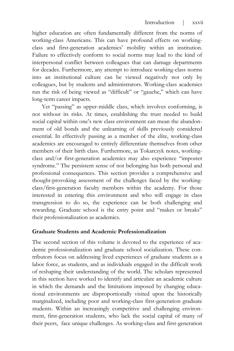higher education are often fundamentally different from the norms of working-class Americans. This can have profound effects on workingclass and first-generation academics' mobility within an institution. Failure to effectively conform to social norms may lead to the kind of interpersonal conflict between colleagues that can damage departments for decades. Furthermore, any attempt to introduce working-class norms into an institutional culture can be viewed negatively not only by colleagues, but by students and administrators. Working-class academics run the risk of being viewed as "difficult" or "gauche," which can have long-term career impacts.

Yet "passing" as upper-middle class, which involves conforming, is not without its risks. At times, establishing the trust needed to build social capital within one's new class environment can mean the abandonment of old bonds and the unlearning of skills previously considered essential. In effectively passing as a member of the elite, working-class academics are encouraged to entirely differentiate themselves from other members of their birth class. Furthermore, as Tokarczyk notes, workingclass and/or first-generation academics may also experience "imposter syndrome." The persistent sense of not belonging has both personal and professional consequences. This section provides a comprehensive and thought-provoking assessment of the challenges faced by the workingclass/first-generation faculty members within the academy. For those interested in entering this environment and who will engage in class transgression to do so, the experience can be both challenging and rewarding. Graduate school is the entry point and "makes or breaks" their professionalization as academics.

#### **Graduate Students and Academic Professionalization**

The second section of this volume is devoted to the experience of academic professionalization and graduate school socialization. These contributors focus on addressing lived experiences of graduate students as a labor force, as students, and as individuals engaged in the difficult work of reshaping their understanding of the world. The scholars represented in this section have worked to identify and articulate an academic culture in which the demands and the limitations imposed by changing educational environments are disproportionally visited upon the historically marginalized, including poor and working-class first-generation graduate students. Within an increasingly competitive and challenging environment, first-generation students, who lack the social capital of many of their peers, face unique challenges. As working-class and first-generation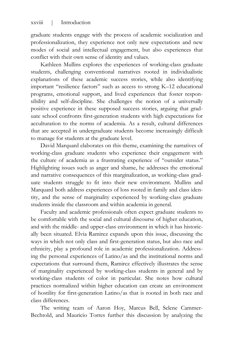graduate students engage with the process of academic socialization and professionalization, they experience not only new expectations and new modes of social and intellectual engagement, but also experiences that conflict with their own sense of identity and values.

Kathleen Mullins explores the experiences of working-class graduate students, challenging conventional narratives rooted in individualistic explanations of these academic success stories, while also identifying important "resilience factors" such as access to strong K–12 educational programs, emotional support, and lived experiences that foster responsibility and self-discipline. She challenges the notion of a universally positive experience in these supposed success stories, arguing that graduate school confronts first-generation students with high expectations for acculturation to the norms of academia. As a result, cultural differences that are accepted in undergraduate students become increasingly difficult to manage for students at the graduate level.

David Marquard elaborates on this theme, examining the narratives of working-class graduate students who experience their engagement with the culture of academia as a frustrating experience of "outsider status." Highlighting issues such as anger and shame, he addresses the emotional and narrative consequences of this marginalization, as working-class graduate students struggle to fit into their new environment. Mullins and Marquard both address experiences of loss rooted in family and class identity, and the sense of marginality experienced by working-class graduate students inside the classroom and within academia in general.

Faculty and academic professionals often expect graduate students to be comfortable with the social and cultural discourse of higher education, and with the middle- and upper-class environment in which it has historically been situated. Elvia Ramirez expands upon this issue, discussing the ways in which not only class and first-generation status, but also race and ethnicity, play a profound role in academic professionalization. Addressing the personal experiences of Latino/as and the institutional norms and expectations that surround them, Ramirez effectively illustrates the sense of marginality experienced by working-class students in general and by working-class students of color in particular. She notes how cultural practices normalized within higher education can create an environment of hostility for first-generation Latino/as that is rooted in both race and class differences.

The writing team of Aaron Hoy, Marcus Bell, Selene Cammer-Bechtold, and Mauricio Torres further this discussion by analyzing the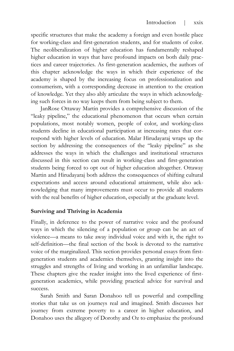specific structures that make the academy a foreign and even hostile place for working-class and first-generation students, and for students of color. The neoliberalization of higher education has fundamentally reshaped higher education in ways that have profound impacts on both daily practices and career trajectories. As first-generation academics, the authors of this chapter acknowledge the ways in which their experience of the academy is shaped by the increasing focus on professionalization and consumerism, with a corresponding decrease in attention to the creation of knowledge. Yet they also ably articulate the ways in which acknowledging such forces in no way keeps them from being subject to them.

JanRose Ottaway Martin provides a comprehensive discussion of the "leaky pipeline," the educational phenomenon that occurs when certain populations, most notably women, people of color, and working-class students decline in educational participation at increasing rates that correspond with higher levels of education. Malar Hirudayaraj wraps up the section by addressing the consequences of the "leaky pipeline" as she addresses the ways in which the challenges and institutional structures discussed in this section can result in working-class and first-generation students being forced to opt out of higher education altogether. Ottaway Martin and Hirudayaraj both address the consequences of shifting cultural expectations and access around educational attainment, while also acknowledging that many improvements must occur to provide all students with the real benefits of higher education, especially at the graduate level.

#### **Surviving and Thriving in Academia**

Finally, in deference to the power of narrative voice and the profound ways in which the silencing of a population or group can be an act of violence—a means to take away individual voice and with it, the right to self-definition—the final section of the book is devoted to the narrative voice of the marginalized. This section provides personal essays from firstgeneration students and academics themselves, granting insight into the struggles and strengths of living and working in an unfamiliar landscape. These chapters give the reader insight into the lived experience of firstgeneration academics, while providing practical advice for survival and success.

Sarah Smith and Saran Donahoo tell us powerful and compelling stories that take us on journeys real and imagined. Smith discusses her journey from extreme poverty to a career in higher education, and Donahoo uses the allegory of Dorothy and Oz to emphasize the profound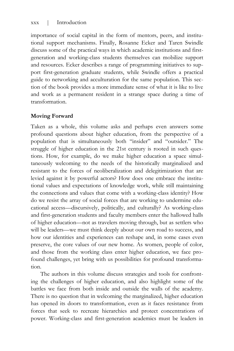importance of social capital in the form of mentors, peers, and institutional support mechanisms. Finally, Rosanne Ecker and Taren Swindle discuss some of the practical ways in which academic institutions and firstgeneration and working-class students themselves can mobilize support and resources. Ecker describes a range of programming initiatives to support first-generation graduate students, while Swindle offers a practical guide to networking and acculturation for the same population. This section of the book provides a more immediate sense of what it is like to live and work as a permanent resident in a strange space during a time of transformation.

### **Moving Forward**

Taken as a whole, this volume asks and perhaps even answers some profound questions about higher education, from the perspective of a population that is simultaneously both "insider" and "outsider." The struggle of higher education in the 21st century is rooted in such questions. How, for example, do we make higher education a space simultaneously welcoming to the needs of the historically marginalized and resistant to the forces of neoliberalization and delegitimization that are levied against it by powerful actors? How does one embrace the institutional values and expectations of knowledge work, while still maintaining the connections and values that come with a working-class identity? How do we resist the array of social forces that are working to undermine educational access—discursively, politically, and culturally? As working-class and first-generation students and faculty members enter the hallowed halls of higher education—not as travelers moving through, but as settlers who will be leaders—we must think deeply about our own road to success, and how our identities and experiences can reshape and, in some cases even preserve, the core values of our new home. As women, people of color, and those from the working class enter higher education, we face profound challenges, yet bring with us possibilities for profound transformation.

The authors in this volume discuss strategies and tools for confronting the challenges of higher education, and also highlight some of the battles we face from both inside and outside the walls of the academy. There is no question that in welcoming the marginalized, higher education has opened its doors to transformation, even as it faces resistance from forces that seek to recreate hierarchies and protect concentrations of power. Working-class and first-generation academics must be leaders in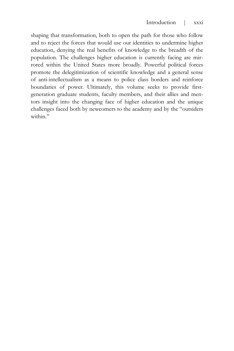shaping that transformation, both to open the path for those who follow and to reject the forces that would use our identities to undermine higher education, denying the real benefits of knowledge to the breadth of the population. The challenges higher education is currently facing are mirrored within the United States more broadly. Powerful political forces promote the delegitimization of scientific knowledge and a general sense of anti-intellectualism as a means to police class borders and reinforce boundaries of power. Ultimately, this volume seeks to provide firstgeneration graduate students, faculty members, and their allies and mentors insight into the changing face of higher education and the unique challenges faced both by newcomers to the academy and by the "outsiders within."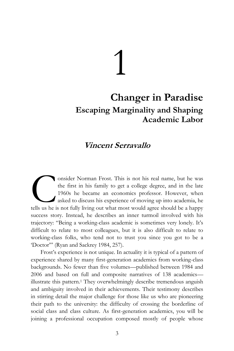# 1

# <span id="page-24-0"></span>**Changer in Paradise Escaping Marginality and Shaping Academic Labor**

## **Vincent Serravallo**

onsider Norman Frost. This is not his real name, but he was the first in his family to get a college degree, and in the late 1960s he became an economics professor. However, when asked to discuss his experience of moving u onsider Norman Frost. This is not his real name, but he was the first in his family to get a college degree, and in the late 1960s he became an economics professor. However, when asked to discuss his experience of moving up into academia, he success story. Instead, he describes an inner turmoil involved with his trajectory: "Being a working-class academic is sometimes very lonely. It's difficult to relate to most colleagues, but it is also difficult to relate to working-class folks, who tend not to trust you since you got to be a 'Doctor'" (Ryan and Sackrey 1984, 257).

Frost's experience is not unique. In actuality it is typical of a pattern of experience shared by many first-generation academics from working-class backgrounds. No fewer than five volumes—published between 1984 and 2006 and based on full and composite narratives of 138 academics illustrate this pattern.<sup>1</sup> They overwhelmingly describe tremendous anguish and ambiguity involved in their achievements. Their testimony describes in stirring detail the major challenge for those like us who are pioneering their path to the university: the difficulty of crossing the borderline of social class and class culture. As first-generation academics, you will be joining a professional occupation composed mostly of people whose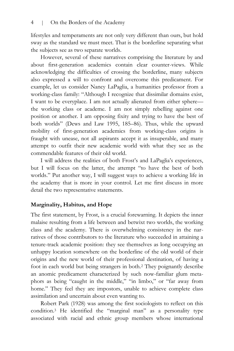lifestyles and temperaments are not only very different than ours, but hold sway as the standard we must meet. That is the borderline separating what the subjects see as two separate worlds.

However, several of these narratives comprising the literature by and about first-generation academics contain clear counter-views. While acknowledging the difficulties of crossing the borderline, many subjects also expressed a will to confront and overcome this predicament. For example, let us consider Nancy LaPaglia, a humanities professor from a working-class family: "Although I recognize that dissimilar domains exist, I want to be everyplace. I am not actually alienated from either sphere the working class or academe. I am not simply rebelling against one position or another. I am opposing fixity and trying to have the best of both worlds" (Dews and Law 1995, 185–86). Thus, while the upward mobility of first-generation academics from working-class origins is fraught with unease, not all aspirants accept it as insuperable, and many attempt to outfit their new academic world with what they see as the commendable features of their old world.

I will address the realities of both Frost's and LaPaglia's experiences, but I will focus on the latter, the attempt "to have the best of both worlds." Put another way, I will suggest ways to achieve a working life in the academy that is more in your control. Let me first discuss in more detail the two representative statements.

#### **Marginality, Habitus, and Hope**

The first statement, by Frost, is a crucial forewarning. It depicts the inner malaise resulting from a life between and betwixt two worlds, the working class and the academy. There is overwhelming consistency in the narratives of those contributors to the literature who succeeded in attaining a tenure-track academic position: they see themselves as long occupying an unhappy location somewhere on the borderline of the old world of their origins and the new world of their professional destination, of having a foot in each world but being strangers in both.<sup>2</sup> They poignantly describe an anomic predicament characterized by such now-familiar glum metaphors as being "caught in the middle," "in limbo," or "far away from home." They feel they are impostors, unable to achieve complete class assimilation and uncertain about even wanting to.

Robert Park (1928) was among the first sociologists to reflect on this condition.<sup>3</sup> He identified the "marginal man" as a personality type associated with racial and ethnic group members whose international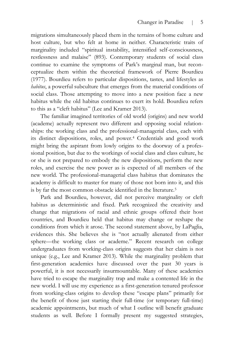migrations simultaneously placed them in the terrains of home culture and host culture, but who felt at home in neither. Characteristic traits of marginality included "spiritual instability, intensified self-consciousness, restlessness and malaise" (893). Contemporary students of social class continue to examine the symptoms of Park's marginal man, but reconceptualize them within the theoretical framework of Pierre Bourdieu (1977). Bourdieu refers to particular dispositions, tastes, and lifestyles as *habitus*, a powerful subculture that emerges from the material conditions of social class. Those attempting to move into a new position face a new habitus while the old habitus continues to exert its hold. Bourdieu refers to this as a "cleft habitus" (Lee and Kramer 2013).

The familiar imagined territories of old world (origins) and new world (academe) actually represent two different and opposing social relationships: the working class and the professional-managerial class, each with its distinct dispositions, roles, and power.<sup>4</sup> Credentials and good work might bring the aspirant from lowly origins to the doorway of a professional position, but due to the workings of social class and class culture, he or she is not prepared to embody the new dispositions, perform the new roles, and exercise the new power as is expected of all members of the new world. The professional-managerial class habitus that dominates the academy is difficult to master for many of those not born into it, and this is by far the most common obstacle identified in the literature.<sup>5</sup>

Park and Bourdieu, however, did not perceive marginality or cleft habitus as deterministic and fixed. Park recognized the creativity and change that migrations of racial and ethnic groups offered their host countries, and Bourdieu held that habitus may change or reshape the conditions from which it arose. The second statement above, by LaPaglia, evidences this. She believes she is "not actually alienated from either sphere—the working class or academe." Recent research on college undergraduates from working-class origins suggests that her claim is not unique (e.g., Lee and Kramer 2013). While the marginality problem that first-generation academics have discussed over the past 30 years is powerful, it is not necessarily insurmountable. Many of these academics have tried to escape the marginality trap and make a contented life in the new world. I will use my experience as a first-generation tenured professor from working-class origins to develop these "escape plans" primarily for the benefit of those just starting their full-time (or temporary full-time) academic appointments, but much of what I outline will benefit graduate students as well. Before I formally present my suggested strategies,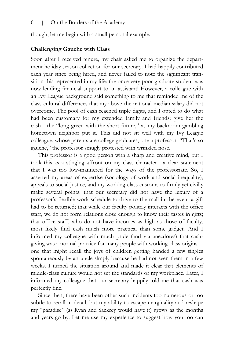though, let me begin with a small personal example.

#### **Challenging Gauche with Class**

Soon after I received tenure, my chair asked me to organize the department holiday season collection for our secretary. I had happily contributed each year since being hired, and never failed to note the significant transition this represented in my life: the once very poor graduate student was now lending financial support to an assistant! However, a colleague with an Ivy League background said something to me that reminded me of the class-cultural differences that my above-the-national-median salary did not overcome. The pool of cash reached triple digits, and I opted to do what had been customary for my extended family and friends: give her the cash—the "long green with the short future," as my backroom-gambling hometown neighbor put it. This did not sit well with my Ivy League colleague, whose parents are college graduates, one a professor. "That's so gauche," the professor smugly protested with wrinkled nose.

This professor is a good person with a sharp and creative mind, but I took this as a stinging affront on my class character—a clear statement that I was too low-mannered for the ways of the professoriate. So, I asserted my areas of expertise (sociology of work and social inequality), appeals to social justice, and my working-class customs to firmly yet civilly make several points: that our secretary did not have the luxury of a professor's flexible work schedule to drive to the mall in the event a gift had to be returned; that while our faculty politely interacts with the office staff, we do not form relations close enough to know their tastes in gifts; that office staff, who do not have incomes as high as those of faculty, most likely find cash much more practical than some gadget. And I informed my colleague with much pride (and via anecdotes) that cashgiving was a normal practice for many people with working-class origins one that might recall the joys of children getting handed a few singles spontaneously by an uncle simply because he had not seen them in a few weeks. I turned the situation around and made it clear that elements of middle-class culture would not set the standards of my workplace. Later, I informed my colleague that our secretary happily told me that cash was perfectly fine.

Since then, there have been other such incidents too numerous or too subtle to recall in detail, but my ability to escape marginality and reshape my "paradise" (as Ryan and Sackrey would have it) grows as the months and years go by. Let me use my experience to suggest how you too can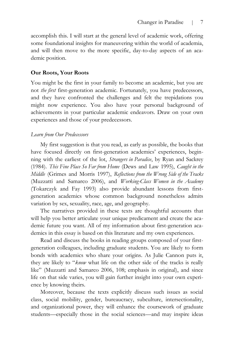accomplish this. I will start at the general level of academic work, offering some foundational insights for maneuvering within the world of academia, and will then move to the more specific, day-to-day aspects of an academic position.

#### **Our Roots, Your Roots**

You might be the first in your family to become an academic, but you are not *the first* first-generation academic. Fortunately, you have predecessors, and they have confronted the challenges and felt the trepidations you might now experience. You also have your personal background of achievements in your particular academic endeavors. Draw on your own experiences and those of your predecessors.

#### *Learn from Our Predecessors*

My first suggestion is that you read, as early as possible, the books that have focused directly on first-generation academics' experiences, beginning with the earliest of the lot, *Strangers in Paradise*, by Ryan and Sackrey (1984). *This Fine Place So Far from Home* (Dews and Law 1995), *Caught in the Middle* (Grimes and Morris 1997), *Reflections from the Wrong Side of the Tracks* (Muzzatti and Samarco 2006), and *Working-Class Women in the Academy* (Tokarczyk and Fay 1993) also provide abundant lessons from firstgeneration academics whose common background nonetheless admits variation by sex, sexuality, race, age, and geography.

The narratives provided in these texts are thoughtful accounts that will help you better articulate your unique predicament and create the academic future you want. All of my information about first-generation academics in this essay is based on this literature and my own experiences.

Read and discuss the books in reading groups composed of your firstgeneration colleagues, including graduate students. You are likely to form bonds with academics who share your origins. As Julie Cannon puts it, they are likely to "*know* what life on the other side of the tracks is really like" (Muzzatti and Samarco 2006, 108; emphasis in original), and since life on that side varies, you will gain further insight into your own experience by knowing theirs.

Moreover, because the texts explicitly discuss such issues as social class, social mobility, gender, bureaucracy, subculture, intersectionality, and organizational power, they will enhance the coursework of graduate students—especially those in the social sciences—and may inspire ideas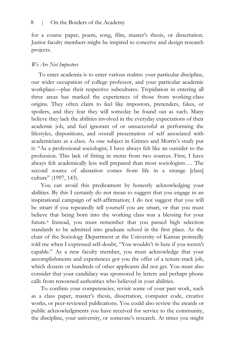for a course paper, poem, song, film, master's thesis, or dissertation. Junior faculty members might be inspired to conceive and design research projects.

#### *We Are Not Impostors*

To enter academia is to enter various realms: your particular discipline, our wider occupation of college professor, and your particular academic workplace—plus their respective subcultures. Trepidation in entering all three areas has marked the experiences of those from working-class origins. They often claim to feel like impostors, pretenders, fakes, or spoilers, and they fear they will someday be found out as such. Many believe they lack the abilities involved in the everyday expectations of their academic job, and feel ignorant of or unsuccessful at performing the lifestyles, dispositions, and overall presentation of self associated with academicians as a class. As one subject in Grimes and Morris's study put it: "As a professional sociologist, I have always felt like an outsider to the profession. This lack of fitting in stems from two sources. First, I have always felt academically less well prepared than most sociologists…. The second source of alienation comes from life in a strange [class] culture" (1997, 143).

You can avoid this predicament by honestly acknowledging your abilities. By this I certainly do not mean to suggest that you engage in an inspirational campaign of self-affirmation; I do not suggest that you will be smart if you repeatedly tell yourself you are smart, or that you must believe that being born into the working class was a blessing for your future.<sup>6</sup> Instead, you must remember that you passed high selection standards to be admitted into graduate school in the first place. As the chair of the Sociology Department at the University of Kansas pointedly told me when I expressed self-doubt, "You wouldn't *be* here if you weren't capable." As a new faculty member, you must acknowledge that your accomplishments and experiences got you the offer of a tenure-track job, which dozens or hundreds of other applicants did not get. You must also consider that your candidacy was sponsored by letters and perhaps phone calls from renowned authorities who believed in your abilities.

To confirm your competencies, revisit some of your past work, such as a class paper, master's thesis, dissertation, computer code, creative works, or peer-reviewed publications. You could also review the awards or public acknowledgments you have received for service to the community, the discipline, your university, or someone's research. At times you might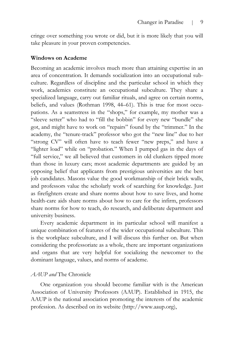cringe over something you wrote or did, but it is more likely that you will take pleasure in your proven competencies.

#### **Windows on Academe**

Becoming an academic involves much more than attaining expertise in an area of concentration. It demands socialization into an occupational subculture. Regardless of discipline and the particular school in which they work, academics constitute an occupational subculture. They share a specialized language, carry out familiar rituals, and agree on certain norms, beliefs, and values (Rothman 1998, 44–61). This is true for most occupations. As a seamstress in the "shops," for example, my mother was a "sleeve setter" who had to "fill the bobbin" for every new "bundle" she got, and might have to work on "repairs" found by the "trimmer." In the academy, the "tenure-track" professor who got the "new line" due to her "strong CV" will often have to teach fewer "new preps," and have a "lighter load" while on "probation." When I pumped gas in the days of "full service," we all believed that customers in old clunkers tipped more than those in luxury cars; most academic departments are guided by an opposing belief that applicants from prestigious universities are the best job candidates. Masons value the good workmanship of their brick walls, and professors value the scholarly work of searching for knowledge. Just as firefighters create and share norms about how to save lives, and home health-care aids share norms about how to care for the infirm, professors share norms for how to teach, do research, and deliberate department and university business.

Every academic department in its particular school will manifest a unique combination of features of the wider occupational subculture. This is the workplace subculture, and I will discuss this further on. But when considering the professoriate as a whole, there are important organizations and organs that are very helpful for socializing the newcomer to the dominant language, values, and norms of academe.

#### *AAUP and* The Chronicle

One organization you should become familiar with is the American Association of University Professors (AAUP). Established in 1915, the AAUP is the national association promoting the interests of the academic profession. As described on its website (http://www.aaup.org),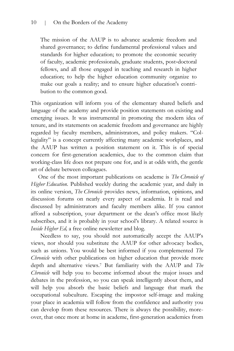The mission of the AAUP is to advance academic freedom and shared governance; to define fundamental professional values and standards for higher education; to promote the economic security of faculty, academic professionals, graduate students, post‐doctoral fellows, and all those engaged in teaching and research in higher education; to help the higher education community organize to make our goals a reality; and to ensure higher education's contribution to the common good.

This organization will inform you of the elementary shared beliefs and language of the academy and provide position statements on existing and emerging issues. It was instrumental in promoting the modern idea of tenure, and its statements on academic freedom and governance are highly regarded by faculty members, administrators, and policy makers. "Collegiality" is a concept currently affecting many academic workplaces, and the AAUP has written a position statement on it. This is of special concern for first-generation academics, due to the common claim that working-class life does not prepare one for, and is at odds with, the gentle art of debate between colleagues.

One of the most important publications on academe is *The Chronicle of Higher Education*. Published weekly during the academic year, and daily in its online version, *The Chronicle* provides news, information, opinions, and discussion forums on nearly every aspect of academia. It is read and discussed by administrators and faculty members alike. If you cannot afford a subscription, your department or the dean's office most likely subscribes, and it is probably in your school's library. A related source is *Inside Higher Ed,* a free online newsletter and blog.

Needless to say, you should not automatically accept the AAUP's views, nor should you substitute the AAUP for other advocacy bodies, such as unions. You would be best informed if you complemented *The Chronicle* with other publications on higher education that provide more depth and alternative views.<sup>7</sup> But familiarity with the AAUP and *The Chronicle* will help you to become informed about the major issues and debates in the profession, so you can speak intelligently about them, and will help you absorb the basic beliefs and language that mark the occupational subculture. Escaping the impostor self-image and making your place in academia will follow from the confidence and authority you can develop from these resources. There is always the possibility, moreover, that once more at home in academe, first-generation academics from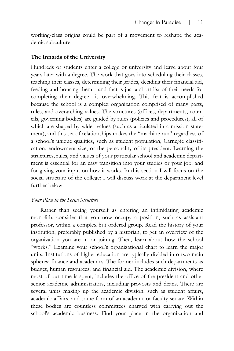working-class origins could be part of a movement to reshape the academic subculture.

#### **The Innards of the University**

Hundreds of students enter a college or university and leave about four years later with a degree. The work that goes into scheduling their classes, teaching their classes, determining their grades, deciding their financial aid, feeding and housing them—and that is just a short list of their needs for completing their degree—is overwhelming. This feat is accomplished because the school is a complex organization comprised of many parts, rules, and overarching values. The structures (offices, departments, councils, governing bodies) are guided by rules (policies and procedures), all of which are shaped by wider values (such as articulated in a mission statement), and this set of relationships makes the "machine run" regardless of a school's unique qualities, such as student population, Carnegie classification, endowment size, or the personality of its president. Learning the structures, rules, and values of your particular school and academic department is essential for an easy transition into your studies or your job, and for giving your input on how it works. In this section I will focus on the social structure of the college; I will discuss work at the department level further below.

#### *Your Place in the Social Structure*

Rather than seeing yourself as entering an intimidating academic monolith, consider that you now occupy a position, such as assistant professor, within a complex but ordered group. Read the history of your institution, preferably published by a historian, to get an overview of the organization you are in or joining. Then, learn about how the school "works." Examine your school's organizational chart to learn the major units. Institutions of higher education are typically divided into two main spheres: finance and academics. The former includes such departments as budget, human resources, and financial aid. The academic division, where most of our time is spent, includes the office of the president and other senior academic administrators, including provosts and deans. There are several units making up the academic division, such as student affairs, academic affairs, and some form of an academic or faculty senate. Within these bodies are countless committees charged with carrying out the school's academic business. Find your place in the organization and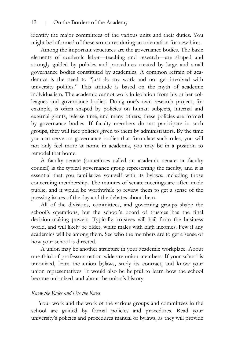identify the major committees of the various units and their duties. You might be informed of these structures during an orientation for new hires.

Among the important structures are the governance bodies. The basic elements of academic labor—teaching and research—are shaped and strongly guided by policies and procedures created by large and small governance bodies constituted by academics. A common refrain of academics is the need to "just do my work and not get involved with university politics." This attitude is based on the myth of academic individualism. The academic cannot work in isolation from his or her colleagues and governance bodies. Doing one's own research project, for example, is often shaped by policies on human subjects, internal and external grants, release time, and many others; these policies are formed by governance bodies. If faculty members do not participate in such groups, they will face policies given to them by administrators. By the time you can serve on governance bodies that formulate such rules, you will not only feel more at home in academia, you may be in a position to remodel that home.

A faculty senate (sometimes called an academic senate or faculty council) is the typical governance group representing the faculty, and it is essential that you familiarize yourself with its bylaws, including those concerning membership. The minutes of senate meetings are often made public, and it would be worthwhile to review them to get a sense of the pressing issues of the day and the debates about them.

All of the divisions, committees, and governing groups shape the school's operations, but the school's board of trustees has the final decision-making powers. Typically, trustees will hail from the business world, and will likely be older, white males with high incomes. Few if any academics will be among them. See who the members are to get a sense of how your school is directed.

A union may be another structure in your academic workplace. About one-third of professors nation-wide are union members. If your school is unionized, learn the union bylaws, study its contract, and know your union representatives. It would also be helpful to learn how the school became unionized, and about the union's history.

#### *Know the Rules and Use the Rules*

Your work and the work of the various groups and committees in the school are guided by formal policies and procedures. Read your university's policies and procedures manual or bylaws, as they will provide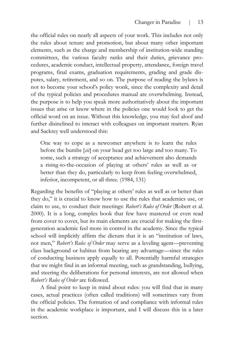the official rules on nearly all aspects of your work. This includes not only the rules about tenure and promotion, but about many other important elements, such as the charge and membership of institution-wide standing committees, the various faculty ranks and their duties, grievance procedures, academic conduct, intellectual property, attendance, foreign travel programs, final exams, graduation requirements, grading and grade disputes, salary, retirement, and so on. The purpose of reading the bylaws is not to become your school's policy wonk, since the complexity and detail of the typical policies and procedures manual are overwhelming. Instead, the purpose is to help you speak more authoritatively about the important issues that arise or know where in the policies one would look to get the official word on an issue. Without this knowledge, you may feel aloof and further disinclined to interact with colleagues on important matters. Ryan and Sackrey well understood this:

One way to cope as a newcomer anywhere is to learn the rules before the bumbs [*sic*] on your head get too large and too many. To some, such a strategy of acceptance and achievement also demands a rising-to-the-occasion of playing at others' rules as well as or better than they do, particularly to keep from feeling overwhelmed, inferior, incompetent, or all three. (1984, 131)

Regarding the benefits of "playing at others' rules as well as or better than they do," it is crucial to know how to use the rules that academics use, or claim to use, to conduct their meetings: *Robert's Rules of Order* (Robert et al. 2000). It is a long, complex book that few have mastered or even read from cover to cover, but its main elements are crucial for making the firstgeneration academic feel more in control in the academy. Since the typical school will implicitly affirm the dictum that it is an "institution of laws, not men," *Robert's Rules of Order* may serve as a leveling agent—preventing class background or habitus from bearing any advantage—since the rules of conducting business apply equally to all. Potentially harmful strategies that we might find in an informal meeting, such as grandstanding, bullying, and steering the deliberations for personal interests, are not allowed when *Robert's Rules of Order* are followed.

A final point to keep in mind about rules: you will find that in many cases, actual practices (often called traditions) will sometimes vary from the official policies. The formation of and compliance with informal rules in the academic workplace is important, and I will discuss this in a later section.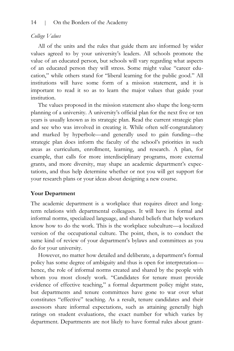#### *College Values*

All of the units and the rules that guide them are informed by wider values agreed to by your university's leaders. All schools promote the value of an educated person, but schools will vary regarding what aspects of an educated person they will stress. Some might value "career education," while others stand for "liberal learning for the public good." All institutions will have some form of a mission statement, and it is important to read it so as to learn the major values that guide your institution.

The values proposed in the mission statement also shape the long-term planning of a university. A university's official plan for the next five or ten years is usually known as its strategic plan. Read the current strategic plan and see who was involved in creating it. While often self-congratulatory and marked by hyperbole—and generally used to gain funding—the strategic plan does inform the faculty of the school's priorities in such areas as curriculum, enrollment, learning, and research. A plan, for example, that calls for more interdisciplinary programs, more external grants, and more diversity, may shape an academic department's expectations, and thus help determine whether or not you will get support for your research plans or your ideas about designing a new course.

#### **Your Department**

The academic department is a workplace that requires direct and longterm relations with departmental colleagues. It will have its formal and informal norms, specialized language, and shared beliefs that help workers know how to do the work. This is the workplace subculture—a localized version of the occupational culture. The point, then, is to conduct the same kind of review of your department's bylaws and committees as you do for your university.

However, no matter how detailed and deliberate, a department's formal policy has some degree of ambiguity and thus is open for interpretation hence, the role of informal norms created and shared by the people with whom you most closely work. "Candidates for tenure must provide evidence of effective teaching," a formal department policy might state, but departments and tenure committees have gone to war over what constitutes "effective" teaching. As a result, tenure candidates and their assessors share informal expectations, such as attaining generally high ratings on student evaluations, the exact number for which varies by department. Departments are not likely to have formal rules about grant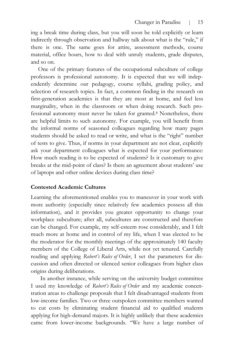ing a break time during class, but you will soon be told explicitly or learn indirectly through observation and hallway talk about what is the "rule," if there is one. The same goes for attire, assessment methods, course material, office hours, how to deal with unruly students, grade disputes, and so on.

One of the primary features of the occupational subculture of college professors is professional autonomy. It is expected that we will independently determine our pedagogy, course syllabi, grading policy, and selection of research topics. In fact, a common finding in the research on first-generation academics is that they are most at home, and feel less marginality, when in the classroom or when doing research. Such professional autonomy must never be taken for granted.<sup>8</sup> Nonetheless, there are helpful limits to such autonomy. For example, you will benefit from the informal norms of seasoned colleagues regarding how many pages students should be asked to read or write, and what is the "right" number of tests to give. Thus, if norms in your department are not clear, explicitly ask your department colleagues what is expected for your performance: How much reading is to be expected of students? Is it customary to give breaks at the mid-point of class? Is there an agreement about students' use of laptops and other online devices during class time?

#### **Contested Academic Cultures**

Learning the aforementioned enables you to maneuver in your work with more authority (especially since relatively few academics possess all this information), and it provides you greater opportunity to change your workplace subculture; after all, subcultures are constructed and therefore can be changed. For example, my self-esteem rose considerably, and I felt much more at home and in control of my life, when I was elected to be the moderator for the monthly meetings of the approximately 140 faculty members of the College of Liberal Arts, while not yet tenured. Carefully reading and applying *Robert's Rules of Order*, I set the parameters for discussion and often directed or silenced senior colleagues from higher class origins during deliberations.

In another instance, while serving on the university budget committee I used my knowledge of *Robert's Rules of Order* and my academic concentration areas to challenge proposals that I felt disadvantaged students from low-income families. Two or three outspoken committee members wanted to cut costs by eliminating student financial aid to qualified students applying for high-demand majors. It is highly unlikely that these academics came from lower-income backgrounds. "We have a large number of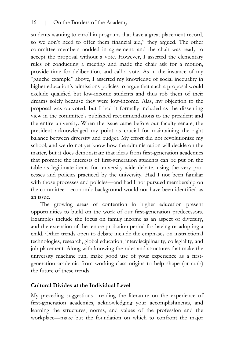students wanting to enroll in programs that have a great placement record, so we don't need to offer them financial aid," they argued. The other committee members nodded in agreement, and the chair was ready to accept the proposal without a vote. However, I asserted the elementary rules of conducting a meeting and made the chair ask for a motion, provide time for deliberation, and call a vote. As in the instance of my "gauche example" above, I asserted my knowledge of social inequality in higher education's admissions policies to argue that such a proposal would exclude qualified but low-income students and thus rob them of their dreams solely because they were low-income. Alas, my objection to the proposal was outvoted, but I had it formally included as the dissenting view in the committee's published recommendations to the president and the entire university. When the issue came before our faculty senate, the president acknowledged my point as crucial for maintaining the right balance between diversity and budget. My effort did not revolutionize my school, and we do not yet know how the administration will decide on the matter, but it does demonstrate that ideas from first-generation academics that promote the interests of first-generation students can be put on the table as legitimate items for university-wide debate, using the very processes and policies practiced by the university. Had I not been familiar with those processes and policies—and had I not pursued membership on the committee—economic background would not have been identified as an issue.

The growing areas of contention in higher education present opportunities to build on the work of our first-generation predecessors. Examples include the focus on family income as an aspect of diversity, and the extension of the tenure probation period for having or adopting a child. Other trends open to debate include the emphases on instructional technologies, research, global education, interdisciplinarity, collegiality, and job placement. Along with knowing the rules and structures that make the university machine run, make good use of your experience as a firstgeneration academic from working-class origins to help shape (or curb) the future of these trends.

#### **Cultural Divides at the Individual Level**

My preceding suggestions—reading the literature on the experience of first-generation academics, acknowledging your accomplishments, and learning the structures, norms, and values of the profession and the workplace—make but the foundation on which to confront the major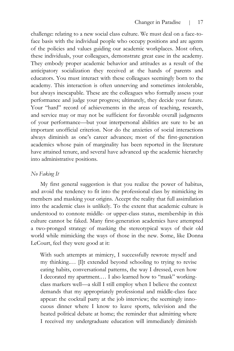challenge: relating to a new social class culture. We must deal on a face-toface basis with the individual people who occupy positions and are agents of the policies and values guiding our academic workplaces. Most often, these individuals, your colleagues, demonstrate great ease in the academy. They embody proper academic behavior and attitudes as a result of the anticipatory socialization they received at the hands of parents and educators. You must interact with these colleagues seemingly born to the academy. This interaction is often unnerving and sometimes intolerable, but always inescapable. These are the colleagues who formally assess your performance and judge your progress; ultimately, they decide your future. Your "hard" record of achievements in the areas of teaching, research, and service may or may not be sufficient for favorable overall judgments of your performance—but your interpersonal abilities are sure to be an important unofficial criterion. Nor do the anxieties of social interactions always diminish as one's career advances; most of the first-generation academics whose pain of marginality has been reported in the literature have attained tenure, and several have advanced up the academic hierarchy into administrative positions.

#### *No Faking It*

My first general suggestion is that you realize the power of habitus, and avoid the tendency to fit into the professional class by mimicking its members and masking your origins. Accept the reality that full assimilation into the academic class is unlikely. To the extent that academic culture is understood to connote middle- or upper-class status, membership in this culture cannot be faked. Many first-generation academics have attempted a two-pronged strategy of masking the stereotypical ways of their old world while mimicking the ways of those in the new. Some, like Donna LeCourt, feel they were good at it:

With such attempts at mimicry, I successfully rewrote myself and my thinking.… [I]t extended beyond schooling to trying to revise eating habits, conversational patterns, the way I dressed, even how I decorated my apartment.… I also learned how to "mask" workingclass markers well—a skill I still employ when I believe the context demands that my appropriately professional and middle-class face appear: the cocktail party at the job interview; the seemingly innocuous dinner where I know to leave sports, television and the heated political debate at home; the reminder that admitting where I received my undergraduate education will immediately diminish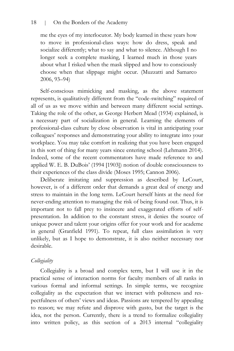me the eyes of my interlocutor. My body learned in these years how to move in professional-class ways: how do dress, speak and socialize differently; what to say and what to silence. Although I no longer seek a complete masking, I learned much in those years about what I risked when the mask slipped and how to consciously choose when that slippage might occur. (Muzzatti and Samarco 2006, 93–94)

Self-conscious mimicking and masking, as the above statement represents, is qualitatively different from the "code-switching" required of all of us as we move within and between many different social settings. Taking the role of the other, as George Herbert Mead (1934) explained, is a necessary part of socialization in general. Learning the elements of professional-class culture by close observation is vital in anticipating your colleagues' responses and demonstrating your ability to integrate into your workplace. You may take comfort in realizing that you have been engaged in this sort of thing for many years since entering school (Lehmann 2014). Indeed, some of the recent commentators have made reference to and applied W. E. B. DuBois' (1994 [1903]) notion of double consciousness to their experiences of the class divide (Moses 1995; Cannon 2006).

Deliberate imitating and suppression as described by LeCourt, however, is of a different order that demands a great deal of energy and stress to maintain in the long term. LeCourt herself hints at the need for never-ending attention to managing the risk of being found out. Thus, it is important not to fall prey to insincere and exaggerated efforts of selfpresentation. In addition to the constant stress, it denies the source of unique power and talent your origins offer for your work and for academe in general (Granfield 1991). To repeat, full class assimilation is very unlikely, but as I hope to demonstrate, it is also neither necessary nor desirable.

#### *Collegiality*

Collegiality is a broad and complex term, but I will use it in the practical sense of interaction norms for faculty members of all ranks in various formal and informal settings. In simple terms, we recognize collegiality as the expectation that we interact with politeness and respectfulness of others' views and ideas. Passions are tempered by appealing to reason; we may refute and disprove with gusto, but the target is the idea, not the person. Currently, there is a trend to formalize collegiality into written policy, as this section of a 2013 internal "collegiality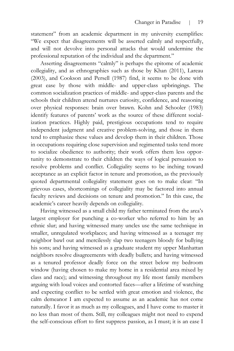statement" from an academic department in my university exemplifies: "We expect that disagreements will be asserted calmly and respectfully, and will not devolve into personal attacks that would undermine the professional reputation of the individual and the department."

Asserting disagreements "calmly" is perhaps the epitome of academic collegiality, and as ethnographies such as those by Khan (2011), Lareau (2003), and Cookson and Persell (1987) find, it seems to be done with great ease by those with middle- and upper-class upbringings. The common socialization practices of middle- and upper-class parents and the schools their children attend nurtures curiosity, confidence, and reasoning over physical responses: brain over brawn. Kohn and Schooler (1983) identify features of parents' work as the source of these different socialization practices. Highly paid, prestigious occupations tend to require independent judgment and creative problem-solving, and those in them tend to emphasize these values and develop them in their children. Those in occupations requiring close supervision and regimented tasks tend more to socialize obedience to authority; their work offers them less opportunity to demonstrate to their children the ways of logical persuasion to resolve problems and conflict. Collegiality seems to be inching toward acceptance as an explicit factor in tenure and promotion, as the previously quoted departmental collegiality statement goes on to make clear: "In grievous cases, shortcomings of collegiality may be factored into annual faculty reviews and decisions on tenure and promotion." In this case, the academic's career heavily depends on collegiality.

Having witnessed as a small child my father terminated from the area's largest employer for punching a co-worker who referred to him by an ethnic slur; and having witnessed many uncles use the same technique in smaller, unregulated workplaces; and having witnessed as a teenager my neighbor bawl out and mercilessly slap two teenagers bloody for bullying his sons; and having witnessed as a graduate student my upper Manhattan neighbors resolve disagreements with deadly bullets; and having witnessed as a tenured professor deadly force on the street below my bedroom window (having chosen to make my home in a residential area mixed by class and race); and witnessing throughout my life most family members arguing with loud voices and contorted faces—after a lifetime of watching and expecting conflict to be settled with great emotion and violence, the calm demeanor I am expected to assume as an academic has not come naturally. I favor it as much as my colleagues, and I have come to master it no less than most of them. Still, my colleagues might not need to expend the self-conscious effort to first suppress passion, as I must; it is an ease I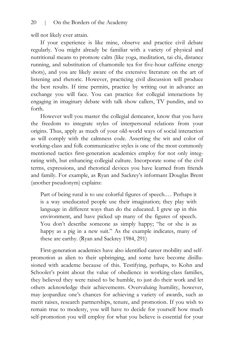will not likely ever attain.

If your experience is like mine, observe and practice civil debate regularly. You might already be familiar with a variety of physical and nutritional means to promote calm (like yoga, meditation, tai chi, distance running, and substitution of chamomile tea for five-hour caffeine energy shots), and you are likely aware of the extensive literature on the art of listening and rhetoric. However, practicing civil discussion will produce the best results. If time permits, practice by writing out in advance an exchange you will face. You can practice for collegial interactions by engaging in imaginary debate with talk show callers, TV pundits, and so forth.

However well you master the collegial demeanor, know that you have the freedom to integrate styles of interpersonal relations from your origins. Thus, apply as much of your old-world ways of social interaction as will comply with the calmness code. Asserting the wit and color of working-class and folk communicative styles is one of the most commonly mentioned tactics first-generation academics employ for not only integrating with, but enhancing collegial culture. Incorporate some of the civil terms, expressions, and rhetorical devices you have learned from friends and family. For example, as Ryan and Sackrey's informant Douglas Brent (another pseudonym) explains:

Part of being rural is to use colorful figures of speech.… Perhaps it is a way uneducated people use their imagination; they play with language in different ways than do the educated. I grew up in this environment, and have picked up many of the figures of speech. You don't describe someone as simply happy; "he or she is as happy as a pig in a new suit." As the example indicates, many of these are earthy. (Ryan and Sackrey 1984, 291)

First-generation academics have also identified career mobility and selfpromotion as alien to their upbringing, and some have become disillusioned with academe because of this. Testifying, perhaps, to Kohn and Schooler's point about the value of obedience in working-class families, they believed they were raised to be humble, to just do their work and let others acknowledge their achievements. Overvaluing humility, however, may jeopardize one's chances for achieving a variety of awards, such as merit raises, research partnerships, tenure, and promotion. If you wish to remain true to modesty, you will have to decide for yourself how much self-promotion you will employ for what you believe is essential for your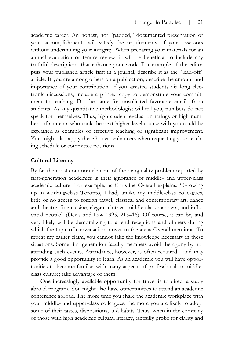academic career. An honest, not "padded," documented presentation of your accomplishments will satisfy the requirements of your assessors without undermining your integrity. When preparing your materials for an annual evaluation or tenure review, it will be beneficial to include any truthful descriptions that enhance your work. For example, if the editor puts your published article first in a journal, describe it as the "lead-off" article. If you are among others on a publication, describe the amount and importance of your contribution. If you assisted students via long electronic discussions, include a printed copy to demonstrate your commitment to teaching. Do the same for unsolicited favorable emails from students. As any quantitative methodologist will tell you, numbers do not speak for themselves. Thus, high student evaluation ratings or high numbers of students who took the next-higher-level course with you could be explained as examples of effective teaching or significant improvement. You might also apply these honest enhancers when requesting your teaching schedule or committee positions.<sup>9</sup>

#### **Cultural Literacy**

By far the most common element of the marginality problem reported by first-generation academics is their ignorance of middle- and upper-class academic culture. For example, as Christine Overall explains: "Growing up in working-class Toronto, I had, unlike my middle-class colleagues, little or no access to foreign travel, classical and contemporary art, dance and theatre, fine cuisine, elegant clothes, middle-class manners, and influential people" (Dews and Law 1995, 215–16). Of course, it can be, and very likely will be demoralizing to attend receptions and dinners during which the topic of conversation moves to the areas Overall mentions. To repeat my earlier claim, you cannot fake the knowledge necessary in these situations. Some first-generation faculty members avoid the agony by not attending such events. Attendance, however, is often required—and may provide a good opportunity to learn. As an academic you will have opportunities to become familiar with many aspects of professional or middleclass culture; take advantage of them.

One increasingly available opportunity for travel is to direct a study abroad program. You might also have opportunities to attend an academic conference abroad. The more time you share the academic workplace with your middle- and upper-class colleagues, the more you are likely to adopt some of their tastes, dispositions, and habits. Thus, when in the company of those with high academic cultural literacy, tactfully probe for clarity and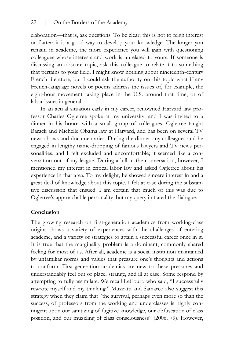elaboration—that is, ask questions. To be clear, this is not to feign interest or flatter; it is a good way to develop your knowledge. The longer you remain in academe, the more experience you will gain with questioning colleagues whose interests and work is unrelated to yours. If someone is discussing an obscure topic, ask this colleague to relate it to something that pertains to your field. I might know nothing about nineteenth-century French literature, but I could ask the authority on this topic what if any French-language novels or poems address the issues of, for example, the eight-hour movement taking place in the U.S. around that time, or of labor issues in general.

In an actual situation early in my career, renowned Harvard law professor Charles Ogletree spoke at my university, and I was invited to a dinner in his honor with a small group of colleagues. Ogletree taught Barack and Michelle Obama law at Harvard, and has been on several TV news shows and documentaries. During the dinner, my colleagues and he engaged in lengthy name-dropping of famous lawyers and TV news personalities, and I felt excluded and uncomfortable; it seemed like a conversation out of my league. During a lull in the conversation, however, I mentioned my interest in critical labor law and asked Ogletree about his experience in that area. To my delight, he showed sincere interest in and a great deal of knowledge about this topic. I felt at ease during the substantive discussion that ensued. I am certain that much of this was due to Ogletree's approachable personality, but my query initiated the dialogue.

#### **Conclusion**

The growing research on first-generation academics from working-class origins shows a variety of experiences with the challenges of entering academe, and a variety of strategies to attain a successful career once in it. It is true that the marginality problem is a dominant, commonly shared feeling for most of us. After all, academe is a social institution maintained by unfamiliar norms and values that pressure one's thoughts and actions to conform. First-generation academics are new to these pressures and understandably feel out of place, strange, and ill at ease. Some respond by attempting to fully assimilate. We recall LeCourt, who said, "I successfully rewrote myself and my thinking." Muzzatti and Samarco also suggest this strategy when they claim that "the survival, perhaps even more so than the success, of professors from the working and underclasses is highly contingent upon our sanitizing of fugitive knowledge, our obfuscation of class position, and our muzzling of class consciousness" (2006, 79). However,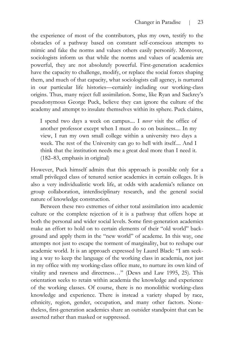the experience of most of the contributors, plus my own, testify to the obstacles of a pathway based on constant self-conscious attempts to mimic and fake the norms and values others easily personify. Moreover, sociologists inform us that while the norms and values of academia are powerful, they are not absolutely powerful. First-generation academics have the capacity to challenge, modify, or replace the social forces shaping them, and much of that capacity, what sociologists call agency, is nurtured in our particular life histories—certainly including our working-class origins. Thus, many reject full assimilation. Some, like Ryan and Sackrey's pseudonymous George Puck, believe they can ignore the culture of the academy and attempt to insulate themselves within its sphere. Puck claims,

I spend two days a week on campus.... I *never* visit the office of another professor except when I must do so on business.... In my view, I run my own small college within a university two days a week. The rest of the University can go to hell with itself.... And I think that the institution needs me a great deal more than I need it. (182–83, emphasis in original)

However, Puck himself admits that this approach is possible only for a small privileged class of tenured senior academics in certain colleges. It is also a very individualistic work life, at odds with academia's reliance on group collaboration, interdisciplinary research, and the general social nature of knowledge construction.

Between these two extremes of either total assimilation into academic culture or the complete rejection of it is a pathway that offers hope at both the personal and wider social levels. Some first-generation academics make an effort to hold on to certain elements of their "old world" background and apply them in the "new world" of academe. In this way, one attempts not just to escape the torment of marginality, but to reshape our academic world. It is an approach expressed by Laurel Black: "I am seeking a way to keep the language of the working class in academia, not just in my office with my working-class office mate, to nurture its own kind of vitality and rawness and directness…" (Dews and Law 1995, 25). This orientation seeks to retain within academia the knowledge and experience of the working classes. Of course, there is no monolithic working-class knowledge and experience. There is instead a variety shaped by race, ethnicity, region, gender, occupation, and many other factors. Nonetheless, first-generation academics share an outsider standpoint that can be asserted rather than masked or suppressed.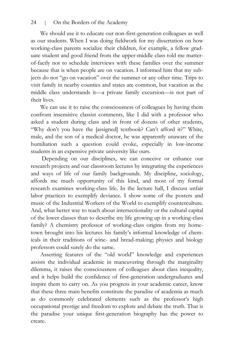#### 24 | On the Borders of the Academy

We should use it to educate our non-first-generation colleagues as well as our students. When I was doing fieldwork for my dissertation on how working-class parents socialize their children, for example, a fellow graduate student and good friend from the upper-middle class told me matterof-factly not to schedule interviews with these families over the summer because that is when people are on vacation. I informed him that my subjects do not "go on vacation" over the summer or any other time. Trips to visit family in nearby counties and states are common, but vacation as the middle class understands it—a private family excursion—is not part of their lives.

We can use it to raise the consciousness of colleagues by having them confront insensitive classist comments, like I did with a professor who asked a student during class and in front of dozens of other students, "Why don't you have the [assigned] textbook? Can't afford it?" White, male, and the son of a medical doctor, he was apparently unaware of the humiliation such a question could evoke, especially in low-income students in an expensive private university like ours.

Depending on our disciplines, we can conceive or enhance our research projects and our classroom lectures by integrating the experiences and ways of life of our family backgrounds. My discipline, sociology, affords me much opportunity of this kind, and most of my formal research examines working-class life. In the lecture hall, I discuss unfair labor practices to exemplify deviance. I show some of the posters and music of the Industrial Workers of the World to exemplify counterculture. And, what better way to teach about intersectionality or the cultural capital of the lower classes than to describe my life growing up in a working-class family? A chemistry professor of working-class origins from my hometown brought into his lectures his family's informal knowledge of chemicals in their traditions of wine- and bread-making; physics and biology professors could surely do the same.

Asserting features of the "old world" knowledge and experiences assists the individual academic in maneuvering through the marginality dilemma, it raises the consciousness of colleagues about class inequality, and it helps build the confidence of first-generation undergraduates and inspire them to carry on. As you progress in your academic career, know that these three main benefits constitute the paradise of academia as much as do commonly celebrated elements such as the professor's high occupational prestige and freedom to explore and debate the truth. That is the paradise your unique first-generation biography has the power to create.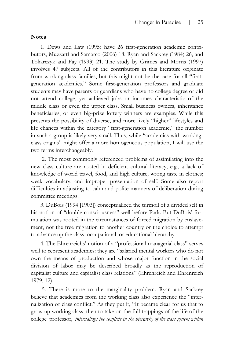#### **Notes**

1. Dews and Law (1995) have 26 first-generation academic contributors, Muzzatti and Samarco (2006) 18, Ryan and Sackrey (1984) 26, and Tokarczyk and Fay (1993) 21. The study by Grimes and Morris (1997) involves 47 subjects. All of the contributors in this literature originate from working-class families, but this might not be the case for all "firstgeneration academics." Some first-generation professors and graduate students may have parents or guardians who have no college degree or did not attend college, yet achieved jobs or incomes characteristic of the middle class or even the upper class. Small business owners, inheritance beneficiaries, or even big-prize lottery winners are examples. While this presents the possibility of diverse, and more likely "higher" lifestyles and life chances within the category "first-generation academic," the number in such a group is likely very small. Thus, while "academics with workingclass origins" might offer a more homogeneous population, I will use the two terms interchangeably.

2. The most commonly referenced problems of assimilating into the new class culture are rooted in deficient cultural literacy, e.g., a lack of knowledge of world travel, food, and high culture; wrong taste in clothes; weak vocabulary; and improper presentation of self. Some also report difficulties in adjusting to calm and polite manners of deliberation during committee meetings.

3. DuBois (1994 [1903]) conceptualized the turmoil of a divided self in his notion of "double consciousness" well before Park. But DuBois' formulation was rooted in the circumstances of forced migration by enslavement, not the free migration to another country or the choice to attempt to advance up the class, occupational, or educational hierarchy.

4. The Ehrenreichs' notion of a "professional-managerial class" serves well to represent academics: they are "salaried mental workers who do not own the means of production and whose major function in the social division of labor may be described broadly as the reproduction of capitalist culture and capitalist class relations" (Ehrenreich and Ehrenreich 1979, 12).

5. There is more to the marginality problem. Ryan and Sackrey believe that academics from the working class also experience the "internalization of class conflict." As they put it, "It became clear for us that to grow up working class, then to take on the full trappings of the life of the college professor, *internalizes the conflicts in the hierarchy of the class system within*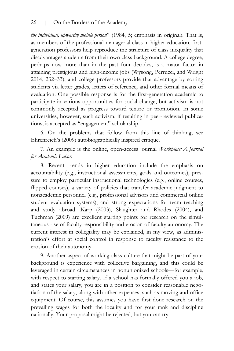*the individual, upwardly mobile person*" (1984, 5; emphasis in original). That is, as members of the professional-managerial class in higher education, firstgeneration professors help reproduce the structure of class inequality that disadvantages students from their own class background. A college degree, perhaps now more than in the past four decades, is a major factor in attaining prestigious and high-income jobs (Wysong, Perrucci, and Wright 2014, 232–33), and college professors provide that advantage by sorting students via letter grades, letters of reference, and other formal means of evaluation. One possible response is for the first-generation academic to participate in various opportunities for social change, but activism is not commonly accepted as progress toward tenure or promotion. In some universities, however, such activism, if resulting in peer-reviewed publications, is accepted as "engagement" scholarship.

6. On the problems that follow from this line of thinking, see Ehrenreich's (2009) autobiographically inspired critique.

7. An example is the online, open-access journal *Workplace: A Journal for Academic Labor*.

8. Recent trends in higher education include the emphasis on accountability (e.g., instructional assessments, goals and outcomes), pressure to employ particular instructional technologies (e.g., online courses, flipped courses), a variety of policies that transfer academic judgment to nonacademic personnel (e.g., professional advisors and commercial online student evaluation systems), and strong expectations for team teaching and study abroad. Karp (2003), Slaughter and Rhodes (2004), and Tuchman (2009) are excellent starting points for research on the simultaneous rise of faculty responsibility and erosion of faculty autonomy. The current interest in collegiality may be explained, in my view, as administration's effort at social control in response to faculty resistance to the erosion of their autonomy.

9. Another aspect of working-class culture that might be part of your background is experience with collective bargaining, and this could be leveraged in certain circumstances in nonunionized schools—for example, with respect to starting salary. If a school has formally offered you a job, and states your salary, you are in a position to consider reasonable negotiation of the salary, along with other expenses, such as moving and office equipment. Of course, this assumes you have first done research on the prevailing wages for both the locality and for your rank and discipline nationally. Your proposal might be rejected, but you can try.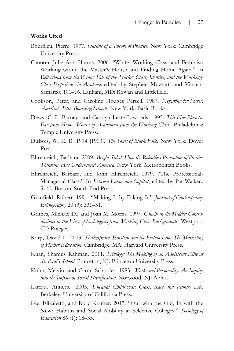#### **Works Cited**

- Bourdieu, Pierre. 1977. *Outline of a Theory of Practice*. New York: Cambridge University Press.
- Cannon, Julie Ann Harms. 2006. "White, Working Class, and Feminist: Working within the Master's House and Finding Home Again." In *Reflections from the Wrong Side of the Tracks: Class, Identity, and the Working-Class Experience in Academe,* edited by Stephen Muzzatti and Vincent Samarco, 101–16. Lanham, MD: Rowan and Littlefield.
- Cookson, Peter, and Caroline Hodges Persell. 1987. *Preparing for Power: America's Elite Boarding Schools.* New York: Basic Books.
- Dews, C. L. Barney, and Carolyn Leste Law, eds. 1995. *This Fine Place So Far from Home: Voices of Academics from the Working Class*. Philadelphia: Temple University Press.
- DuBois, W. E. B. 1994 [1903]. *The Souls of Black Folk*. New York: Dover Press.
- Ehrenreich, Barbara. 2009. *Bright-Sided: How the Relentless Promotion of Positive Thinking Has Undermined America*. New York: Metropolitan Books.
- Ehrenreich, Barbara, and John Ehrenreich. 1979. "The Professional-Managerial Class." In *Between Labor and Capital*, edited by Pat Walker., 5–45. Boston: South End Press.
- Granfield, Robert. 1991. "Making It by Faking It." *Journal of Contemporary Ethnography* 20 (3): 331–51.
- Grimes, Michael D., and Joan M. Morris. 1997. *Caught in the Middle: Contradictions in the Lives of Sociologists from Working-Class Backgrounds*. Westport, CT: Praeger.
- Karp, David L. 2003. *Shakespeare, Einstein and the Bottom Line: The Marketing of Higher Education*. Cambridge, MA: Harvard University Press.
- Khan, Shamus Rahman. 2011. *Privilege: The Making of an Adolescent Elite at St. Paul's School*. Princeton, NJ: Princeton University Press.
- Kohn, Melvin, and Carmi Schooler. 1983. *Work and Personality: An Inquiry into the Impact of Social Stratification*. Norwood, NJ: Ablex.
- Lareau, Annette. 2003. *Unequal Childhoods: Class, Race and Family Life.* Berkeley: University of California Press.
- Lee, Elizabeth, and Rory Kramer. 2013. "Out with the Old, In with the New? Habitus and Social Mobility at Selective Colleges." *Sociology of Education* 86 (1): 18–35.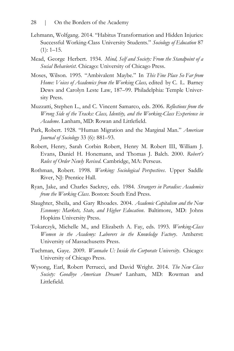- Lehmann, Wolfgang. 2014. "Habitus Transformation and Hidden Injuries: Successful Working-Class University Students." *Sociology of Education* 87  $(1): 1-15.$
- Mead, George Herbert. 1934. *Mind, Self and Society: From the Standpoint of a Social Behaviorist*. Chicago: University of Chicago Press.
- Moses, Wilson. 1995. "Ambivalent Maybe." In *This Fine Place So Far from*  Home: Voices of Academics from the Working Class, edited by C. L. Barney Dews and Carolyn Leste Law, 187–99. Philadelphia: Temple University Press.
- Muzzatti, Stephen L., and C. Vincent Samarco, eds. 2006. *Reflections from the Wrong Side of the Tracks: Class, Identity, and the Working-Class Experience in Academe*. Lanham, MD: Rowan and Littlefield.
- Park, Robert. 1928. "Human Migration and the Marginal Man." *American Journal of Sociology* 33 (6): 881–93.
- Robert, Henry, Sarah Corbin Robert, Henry M. Robert III, William J. Evans, Daniel H. Honemann, and Thomas J. Balch. 2000. *Robert's Rules of Order Newly Revised*. Cambridge, MA: Perseus.
- Rothman, Robert. 1998. *Working: Sociological Perspectives*. Upper Saddle River, NJ: Prentice Hall.
- Ryan, Jake, and Charles Sackrey, eds. 1984. *Strangers in Paradise: Academics from the Working Class*. Boston: South End Press.
- Slaughter, Sheila, and Gary Rhoades. 2004. *Academic Capitalism and the New Economy: Markets, State, and Higher Education*. Baltimore, MD: Johns Hopkins University Press.
- Tokarczyk, Michelle M., and Elizabeth A. Fay, eds. 1993. *Working-Class Women in the Academy: Laborers in the Knowledge Factory*. Amherst: University of Massachusetts Press.
- Tuchman, Gaye. 2009. *Wannabe U: Inside the Corporate University*. Chicago: University of Chicago Press.
- Wysong, Earl, Robert Perrucci, and David Wright. 2014. *The New Class Society: Goodbye American Dream?* Lanham, MD: Rowman and Littlefield.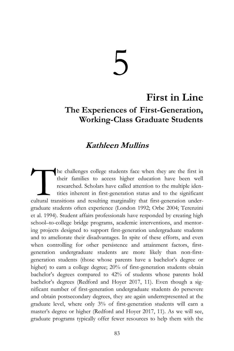# 5

# <span id="page-50-0"></span>**First in Line The Experiences of First-Generation, Working-Class Graduate Students**

## **Kathleen Mullins**

The challenges college students face when they are the first in their families to access higher education have been well researched. Scholars have called attention to the multiple identities inherent in first-generation st he challenges college students face when they are the first in their families to access higher education have been well researched. Scholars have called attention to the multiple identities inherent in first-generation status and to the significant graduate students often experience (London 1992; Orbe 2004; Terenzini et al. 1994). Student affairs professionals have responded by creating high school–to-college bridge programs, academic interventions, and mentoring projects designed to support first-generation undergraduate students and to ameliorate their disadvantages. In spite of these efforts, and even when controlling for other persistence and attainment factors, firstgeneration undergraduate students are more likely than non-firstgeneration students (those whose parents have a bachelor's degree or higher) to earn a college degree; 20% of first-generation students obtain bachelor's degrees compared to 42% of students whose parents hold bachelor's degrees (Redford and Hoyer 2017, 11). Even though a significant number of first-generation undergraduate students do persevere and obtain postsecondary degrees, they are again underrepresented at the graduate level, where only 3% of first-generation students will earn a master's degree or higher (Redford and Hoyer 2017, 11). As we will see, graduate programs typically offer fewer resources to help them with the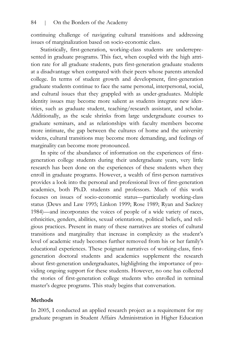continuing challenge of navigating cultural transitions and addressing issues of marginalization based on socio-economic class.

Statistically, first-generation, working-class students are underrepresented in graduate programs. This fact, when coupled with the high attrition rate for all graduate students, puts first-generation graduate students at a disadvantage when compared with their peers whose parents attended college. In terms of student growth and development, first-generation graduate students continue to face the same personal, interpersonal, social, and cultural issues that they grappled with as under-graduates. Multiple identity issues may become more salient as students integrate new identities, such as graduate student, teaching/research assistant, and scholar. Additionally, as the scale shrinks from large undergraduate courses to graduate seminars, and as relationships with faculty members become more intimate, the gap between the cultures of home and the university widens, cultural transitions may become more demanding, and feelings of marginality can become more pronounced.

In spite of the abundance of information on the experiences of firstgeneration college students during their undergraduate years, very little research has been done on the experiences of these students when they enroll in graduate programs. However, a wealth of first-person narratives provides a look into the personal and professional lives of first-generation academics, both Ph.D. students and professors. Much of this work focuses on issues of socio-economic status—particularly working-class status (Dews and Law 1995; Linkon 1999; Rose 1989; Ryan and Sackrey 1984)—and incorporates the voices of people of a wide variety of races, ethnicities, genders, abilities, sexual orientations, political beliefs, and religious practices. Present in many of these narratives are stories of cultural transitions and marginality that increase in complexity as the student's level of academic study becomes further removed from his or her family's educational experiences. These poignant narratives of working-class, firstgeneration doctoral students and academics supplement the research about first-generation undergraduates, highlighting the importance of providing ongoing support for these students. However, no one has collected the stories of first-generation college students who enrolled in terminal master's degree programs. This study begins that conversation.

#### **Methods**

In 2005, I conducted an applied research project as a requirement for my graduate program in Student Affairs Administration in Higher Education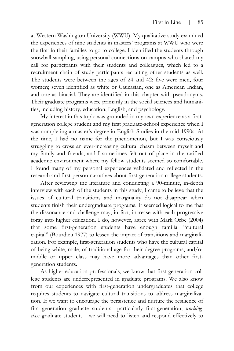at Western Washington University (WWU). My qualitative study examined the experiences of nine students in masters' programs at WWU who were the first in their families to go to college. I identified the students through snowball sampling, using personal connections on campus who shared my call for participants with their students and colleagues, which led to a recruitment chain of study participants recruiting other students as well. The students were between the ages of 24 and 42; five were men, four women; seven identified as white or Caucasian, one as American Indian, and one as biracial. They are identified in this chapter with pseudonyms. Their graduate programs were primarily in the social sciences and humanities, including history, education, English, and psychology.

My interest in this topic was grounded in my own experience as a firstgeneration college student and my first graduate-school experience when I was completing a master's degree in English Studies in the mid-1990s. At the time, I had no name for the phenomenon, but I was consciously struggling to cross an ever-increasing cultural chasm between myself and my family and friends, and I sometimes felt out of place in the rarified academic environment where my fellow students seemed so comfortable. I found many of my personal experiences validated and reflected in the research and first-person narratives about first-generation college students.

After reviewing the literature and conducting a 90-minute, in-depth interview with each of the students in this study, I came to believe that the issues of cultural transitions and marginality do not disappear when students finish their undergraduate programs. It seemed logical to me that the dissonance and challenge may, in fact, increase with each progressive foray into higher education. I do, however, agree with Mark Orbe (2004) that some first-generation students have enough familial "cultural capital" (Bourdieu 1977) to lessen the impact of transitions and marginalization. For example, first-generation students who have the cultural capital of being white, male, of traditional age for their degree programs, and/or middle or upper class may have more advantages than other firstgeneration students.

As higher-education professionals, we know that first-generation college students are underrepresented in graduate programs. We also know from our experiences with first-generation undergraduates that college requires students to navigate cultural transitions to address marginalization. If we want to encourage the persistence and nurture the resilience of first-generation graduate students—particularly first-generation, *workingclass* graduate students—we will need to listen and respond effectively to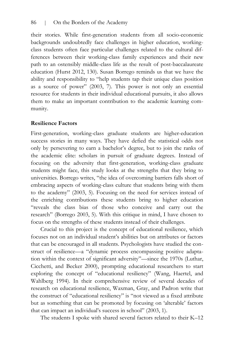their stories. While first-generation students from all socio-economic backgrounds undoubtedly face challenges in higher education, workingclass students often face particular challenges related to the cultural differences between their working-class family experiences and their new path to an ostensibly middle-class life as the result of post-baccalaureate education (Hurst 2012, 130). Susan Borrego reminds us that we have the ability and responsibility to "help students tap their unique class position as a source of power" (2003, 7). This power is not only an essential resource for students in their individual educational pursuits, it also allows them to make an important contribution to the academic learning community.

#### **Resilience Factors**

First-generation, working-class graduate students are higher-education success stories in many ways. They have defied the statistical odds not only by persevering to earn a bachelor's degree, but to join the ranks of the academic elite: scholars in pursuit of graduate degrees. Instead of focusing on the adversity that first-generation, working-class graduate students might face, this study looks at the strengths that they bring to universities. Borrego writes, "the idea of overcoming barriers falls short of embracing aspects of working-class culture that students bring with them to the academy" (2003, 5). Focusing on the need for services instead of the enriching contributions these students bring to higher education "reveals the class bias of those who conceive and carry out the research" (Borrego 2003, 5). With this critique in mind, I have chosen to focus on the strengths of these students instead of their challenges.

Crucial to this project is the concept of educational resilience, which focuses not on an individual student's abilities but on attributes or factors that can be encouraged in all students. Psychologists have studied the construct of resilience—a "dynamic process encompassing positive adaptation within the context of significant adversity"—since the 1970s (Luthar, Cicchetti, and Becker 2000), prompting educational researchers to start exploring the concept of "educational resiliency" (Wang, Haertel, and Wahlberg 1994). In their comprehensive review of several decades of research on educational resilience, Waxman, Gray, and Padron write that the construct of "educational resiliency" is "not viewed as a fixed attribute but as something that can be promoted by focusing on 'alterable' factors that can impact an individual's success in school" (2003, 1).

The students I spoke with shared several factors related to their K–12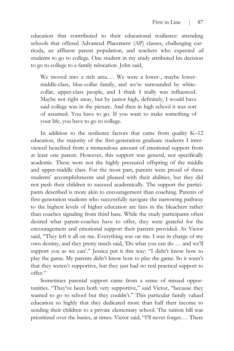education that contributed to their educational resilience: attending schools that offered Advanced Placement (AP) classes, challenging curricula, an affluent parent population, and teachers who expected *all* students to go to college. One student in my study attributed his decision to go to college to a family relocation. John said,

We moved into a rich area.… We were a lower-, maybe lowermiddle-class, blue-collar family, and we're surrounded by whitecollar, upper-class people, and I think I really was influenced. Maybe not right away, but by junior high, definitely, I would have said college was in the picture. And then in high school it was sort of assumed. You have to go. If you want to make something of your life, you have to go to college.

In addition to the resilience factors that came from quality K–12 education, the majority of the first-generation graduate students I interviewed benefited from a tremendous amount of emotional support from at least one parent. However, this support was general, not specifically academic. These were not the highly pressured offspring of the middle and upper-middle class. For the most part, parents were proud of these students' accomplishments and pleased with their abilities, but they did not push their children to succeed academically. The support the participants described is more akin to encouragement than coaching. Parents of first-generation students who successfully navigate the narrowing pathway to the highest levels of higher education are fans in the bleachers rather than coaches signaling from third base. While the study participants often desired what parent-coaches have to offer, they were grateful for the encouragement and emotional support their parents provided. As Victor said, "They left it all on me. Everything was on me. I was in charge of my own destiny, and they pretty much said, 'Do what you can do … and we'll support you as we can'." Jessica put it this way: "I didn't know how to play the game. My parents didn't know how to play the game. So it wasn't that they weren't supportive, but they just had no real practical support to offer."

Sometimes parental support came from a sense of missed opportunities. "They've been both very supportive," said Victor, "because they wanted to go to school but they couldn't." This particular family valued education so highly that they dedicated more than half their income to sending their children to a private elementary school. The tuition bill was prioritized over the basics, at times. Victor said, "I'll never forget.… There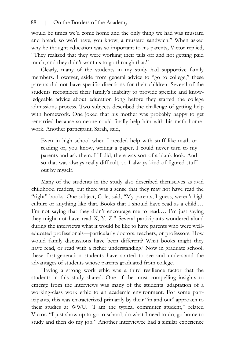would be times we'd come home and the only thing we had was mustard and bread, so we'd have, you know, a mustard sandwich!" When asked why he thought education was so important to his parents, Victor replied, "They realized that they were working their tails off and not getting paid much, and they didn't want us to go through that."

Clearly, many of the students in my study had supportive family members. However, aside from general advice to "go to college," these parents did not have specific directions for their children. Several of the students recognized their family's inability to provide specific and knowledgeable advice about education long before they started the college admissions process. Two subjects described the challenge of getting help with homework. One joked that his mother was probably happy to get remarried because someone could finally help him with his math homework. Another participant, Sarah, said,

Even in high school when I needed help with stuff like math or reading or, you know, writing a paper, I could never turn to my parents and ask them. If I did, there was sort of a blank look. And so that was always really difficult, so I always kind of figured stuff out by myself.

Many of the students in the study also described themselves as avid childhood readers, but there was a sense that they may not have read the "right" books. One subject, Cole, said, "My parents, I guess, weren't high culture or anything like that. Books that I should have read as a child.… I'm not saying that they didn't encourage me to read.… I'm just saying they might not have read X, Y, Z." Several participants wondered aloud during the interviews what it would be like to have parents who were welleducated professionals—particularly doctors, teachers, or professors. How would family discussions have been different? What books might they have read, or read with a richer understanding? Now in graduate school, these first-generation students have started to see and understand the advantages of students whose parents graduated from college.

Having a strong work ethic was a third resilience factor that the students in this study shared. One of the most compelling insights to emerge from the interviews was many of the students' adaptation of a working-class work ethic to an academic environment. For some participants, this was characterized primarily by their "in and out" approach to their studies at WWU. "I am the typical commuter student," related Victor. "I just show up to go to school, do what I need to do, go home to study and then do my job." Another interviewee had a similar experience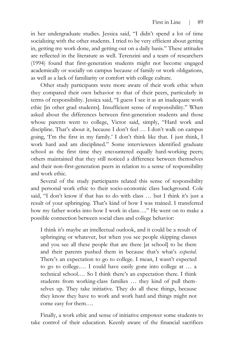in her undergraduate studies. Jessica said, "I didn't spend a lot of time socializing with the other students. I tried to be very efficient about getting in, getting my work done, and getting out on a daily basis." These attitudes are reflected in the literature as well. Terenzini and a team of researchers (1994) found that first-generation students might not become engaged academically or socially on campus because of family or work obligations, as well as a lack of familiarity or comfort with college culture.

Other study participants were more aware of their work ethic when they compared their own behavior to that of their peers, particularly in terms of responsibility. Jessica said, "I guess I see it as an inadequate work ethic [in other grad students]. Insufficient sense of responsibility." When asked about the differences between first-generation students and those whose parents went to college, Victor said, simply, "Hard work and discipline. That's about it, because I don't feel … I don't walk on campus going, 'I'm the first in my family.' I don't think like that. I just think, I work hard and am disciplined." Some interviewees identified graduate school as the first time they encountered equally hard-working peers; others maintained that they still noticed a difference between themselves and their non-first-generation peers in relation to a sense of responsibility and work ethic.

Several of the study participants related this sense of responsibility and personal work ethic to their socio-economic class background. Cole said, "I don't know if that has to do with class … but I think it's just a result of your upbringing. That's kind of how I was trained. I transferred how my father works into how I work in class…." He went on to make a possible connection between social class and college behavior:

I think it's maybe an intellectual outlook, and it could be a result of upbringing or whatever, but when you see people skipping classes and you see all these people that are there [at school] to be there and their parents pushed them in because that's what's *expected*. There's an expectation to go to college. I mean, I wasn't expected to go to college.… I could have easily gone into college at … a technical school.… So I think there's an expectation there. I think students from working-class families … they kind of pull themselves up. They take initiative. They do all these things, because they know they have to work and work hard and things might not come easy for them….

Finally, a work ethic and sense of initiative empower some students to take control of their education. Keenly aware of the financial sacrifices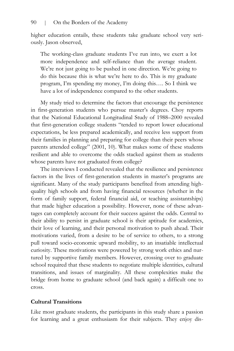higher education entails, these students take graduate school very seriously. Jason observed,

The working-class graduate students I've run into, we exert a lot more independence and self-reliance than the average student. We're not just going to be pushed in one direction. We're going to do this because this is what we're here to do. This is my graduate program, I'm spending my money, I'm doing this…. So I think we have a lot of independence compared to the other students.

My study tried to determine the factors that encourage the persistence in first-generation students who pursue master's degrees. Choy reports that the National Educational Longitudinal Study of 1988–2000 revealed that first-generation college students "tended to report lower educational expectations, be less prepared academically, and receive less support from their families in planning and preparing for college than their peers whose parents attended college" (2001, 10). What makes some of these students resilient and able to overcome the odds stacked against them as students whose parents have not graduated from college?

The interviews I conducted revealed that the resilience and persistence factors in the lives of first-generation students in master's programs are significant. Many of the study participants benefited from attending highquality high schools and from having financial resources (whether in the form of family support, federal financial aid, or teaching assistantships) that made higher education a possibility. However, none of these advantages can completely account for their success against the odds. Central to their ability to persist in graduate school is their aptitude for academics, their love of learning, and their personal motivation to push ahead. Their motivations varied, from a desire to be of service to others, to a strong pull toward socio-economic upward mobility, to an insatiable intellectual curiosity. These motivations were powered by strong work ethics and nurtured by supportive family members. However, crossing over to graduate school required that these students to negotiate multiple identities, cultural transitions, and issues of marginality. All these complexities make the bridge from home to graduate school (and back again) a difficult one to cross.

#### **Cultural Transitions**

Like most graduate students, the participants in this study share a passion for learning and a great enthusiasm for their subjects. They enjoy dis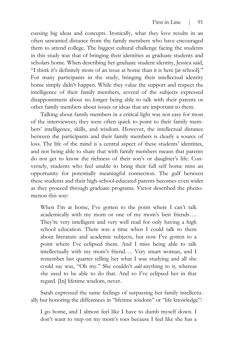cussing big ideas and concepts. Ironically, what they love results in an often unwanted distance from the family members who have encouraged them to attend college. The biggest cultural challenge facing the students in this study was that of bringing their identities as graduate students and scholars home. When describing her graduate student identity, Jessica said, "I think it's definitely more of an issue at home than it is here [at school]." For many participants in the study, bringing their intellectual identity home simply didn't happen. While they value the support and respect the intelligence of their family members, several of the subjects expressed disappointment about no longer being able to talk with their parents or other family members about issues or ideas that are important to them.

Talking about family members in a critical light was not easy for most of the interviewees; they were often quick to point to their family members' intelligence, skills, and wisdom. However, the intellectual distance between the participants and their family members is clearly a source of loss. The life of the mind is a central aspect of these students' identities, and not being able to share that with family members means that parents do not get to know the richness of their son's or daughter's life. Conversely, students who feel unable to bring their full self home miss an opportunity for potentially meaningful connection. The gulf between these students and their high-school-educated parents becomes even wider as they proceed through graduate programs. Victor described the phenomenon this way:

When I'm at home, I've gotten to the point where I can't talk academically with my mom or one of my mom's best friends…. They're very intelligent and very well read for only having a high school education. There was a time when I could talk to them about literature and academic subjects, but now I've gotten to a point where I've eclipsed them. And I miss being able to talk intellectually with my mom's friend…. Very smart woman, and I remember last quarter telling her what I was studying and all she could say was, "Oh my." She couldn't *add* anything to it, whereas she used to be able to do that. And so I've eclipsed her in that regard. [In] lifetime wisdom, never.

Sarah expressed the same feelings of surpassing her family intellectually but honoring the differences in "lifetime wisdom" or "life knowledge":

I go home, and I almost feel like I have to dumb myself down. I don't want to step on my mom's toes because I feel like she has a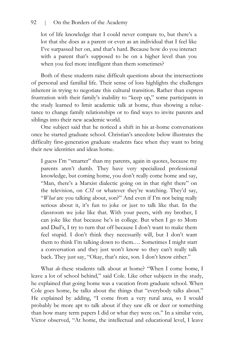#### 92 | On the Borders of the Academy

lot of life knowledge that I could never compare to, but there's a lot that she does as a parent or even as an individual that I feel like I've surpassed her on, and that's hard. Because how do you interact with a parent that's supposed to be on a higher level than you when you feel more intelligent than them sometimes?

Both of these students raise difficult questions about the intersections of personal and familial life. Their sense of loss highlights the challenges inherent in trying to negotiate this cultural transition. Rather than express frustration with their family's inability to "keep up," some participants in the study learned to limit academic talk at home, thus showing a reluctance to change family relationships or to find ways to invite parents and siblings into their new academic world.

One subject said that he noticed a shift in his at-home conversations once he started graduate school. Christian's anecdote below illustrates the difficulty first-generation graduate students face when they want to bring their new identities and ideas home.

I guess I'm "smarter" than my parents, again in quotes, because my parents aren't dumb. They have very specialized professional knowledge, but coming home, you don't really come home and say, "Man, there's a Marxist dialectic going on in that right there" on the television, on *CSI* or whatever they're watching. They'd say, "*What* are you talking about, son?" And even if I'm not being really serious about it, it's fun to joke or just to talk like that. In the classroom we joke like that. With your peers, with my brother, I can joke like that because he's in college. But when I go to Mom and Dad's, I try to turn that off because I don't want to make them feel stupid. I don't think they necessarily will, but I don't want them to think I'm talking down to them.… Sometimes I might start a conversation and they just won't know so they can't really talk back. They just say, "Okay, that's nice, son. I don't know either."

What *do* these students talk about at home? "When I come home, I leave a lot of school behind," said Cole. Like other subjects in the study, he explained that going home was a vacation from graduate school. When Cole goes home, he talks about the things that "everybody talks about." He explained by adding, "I come from a very rural area, so I would probably be more apt to talk about if they saw elk or deer or something than how many term papers I did or what they were on." In a similar vein, Victor observed, "At home, the intellectual and educational level, I leave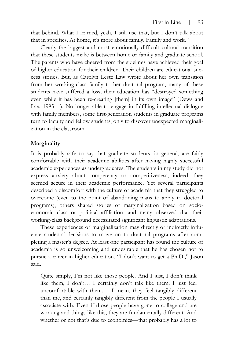that behind. What I learned, yeah, I still use that, but I don't talk about that in specifics. At home, it's more about family. Family and work."

Clearly the biggest and most emotionally difficult cultural transition that these students make is between home or family and graduate school. The parents who have cheered from the sidelines have achieved their goal of higher education for their children. Their children are educational success stories. But, as Carolyn Leste Law wrote about her own transition from her working-class family to her doctoral program, many of these students have suffered a loss; their education has "destroyed something even while it has been re-creating [them] in its own image" (Dews and Law 1995, 1). No longer able to engage in fulfilling intellectual dialogue with family members, some first-generation students in graduate programs turn to faculty and fellow students, only to discover unexpected marginalization in the classroom.

#### **Marginality**

It is probably safe to say that graduate students, in general, are fairly comfortable with their academic abilities after having highly successful academic experiences as undergraduates. The students in my study did not express anxiety about competency or competitiveness; indeed, they seemed secure in their academic performance. Yet several participants described a discomfort with the culture of academia that they struggled to overcome (even to the point of abandoning plans to apply to doctoral programs), others shared stories of marginalization based on socioeconomic class or political affiliation, and many observed that their working-class background necessitated significant linguistic adaptations.

These experiences of marginalization may directly or indirectly influence students' decisions to move on to doctoral programs after completing a master's degree. At least one participant has found the culture of academia is so unwelcoming and undesirable that he has chosen not to pursue a career in higher education. "I don't want to get a Ph.D.," Jason said.

Quite simply, I'm not like those people. And I just, I don't think like them, I don't… I certainly don't talk like them. I just feel uncomfortable with them.… I mean, they feel tangibly different than me, and certainly tangibly different from the people I usually associate with. Even if those people have gone to college and are working and things like this, they are fundamentally different. And whether or not that's due to economics—that probably has a lot to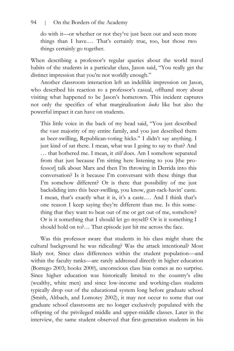do with it—or whether or not they've just been out and seen more things than I have.… That's certainly true, too, but those two things certainly go together.

When describing a professor's regular queries about the world travel habits of the students in a particular class, Jason said, "You really get the distinct impression that you're not worldly enough."

Another classroom interaction left an indelible impression on Jason, who described his reaction to a professor's casual, offhand story about visiting what happened to be Jason's hometown. This incident captures not only the specifics of what marginalization *looks* like but also the powerful impact it can have on students.

This little voice in the back of my head said, "You just described the vast majority of my entire family, and you just described them as beer-swilling, Republican-voting hicks." I didn't say anything. I just kind of sat there. I mean, what was I going to say to that? And … that bothered me. I mean, it *still* does. Am I somehow separated from that just because I'm sitting here listening to you [the professor] talk about Marx and then I'm throwing in Derrida into this conversation? Is it because I'm conversant with these things that I'm somehow different? Or is there that possibility of me just backsliding into this beer-swilling, you know, gun-rack-havin' caste. I mean, that's exactly what it is, it's a caste.… And I think that's one reason I keep saying they're different than me. Is this something that they want to beat out of me or get out of me, somehow? Or is it something that I should let go myself? Or is it something I should hold on to?… That episode just hit me across the face.

Was this professor aware that students in his class might share the cultural background he was ridiculing? Was the attack intentional? Most likely not. Since class differences within the student population—and within the faculty ranks—are rarely addressed directly in higher education (Borrego 2003; hooks 2000), unconscious class bias comes as no surprise. Since higher education was historically limited to the country's elite (wealthy, white men) and since low-income and working-class students typically drop out of the educational system long before graduate school (Smith, Altbach, and Lomotey 2002), it may not occur to some that our graduate school classrooms are no longer exclusively populated with the offspring of the privileged middle and upper-middle classes. Later in the interview, the same student observed that first-generation students in his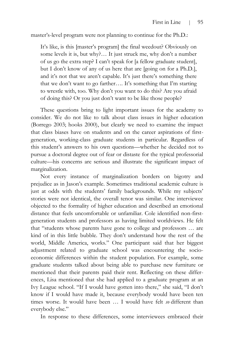master's-level program were not planning to continue for the Ph.D.:

It's like, is this [master's program] the final weedout? Obviously on some levels it is, but why?… It just struck me, why don't a number of us go the extra step? I can't speak for [a fellow graduate student], but I don't know of any of us here that are [going on for a Ph.D.], and it's not that we aren't capable. It's just there's something there that we don't want to go farther…. It's something that I'm starting to wrestle with, too. Why don't you want to do this? Are you afraid of doing this? Or you just don't want to be like those people?

These questions bring to light important issues for the academy to consider. We do not like to talk about class issues in higher education (Borrego 2003; hooks 2000), but clearly we need to examine the impact that class biases have on students and on the career aspirations of firstgeneration, working-class graduate students in particular. Regardless of this student's answers to his own questions—whether he decided not to pursue a doctoral degree out of fear or distaste for the typical professorial culture—his concerns are serious and illustrate the significant impact of marginalization.

Not every instance of marginalization borders on bigotry and prejudice as in Jason's example. Sometimes traditional academic culture is just at odds with the students' family backgrounds. While my subjects' stories were not identical, the overall tenor was similar. One interviewee objected to the formality of higher education and described an emotional distance that feels uncomfortable or unfamiliar. Cole identified non-firstgeneration students and professors as having limited worldviews. He felt that "students whose parents have gone to college and professors … are kind of in this little bubble. They don't understand how the rest of the world, Middle America, works." One participant said that her biggest adjustment related to graduate school was encountering the socioeconomic differences within the student population. For example, some graduate students talked about being able to purchase new furniture or mentioned that their parents paid their rent. Reflecting on these differences, Lisa mentioned that she had applied to a graduate program at an Ivy League school. "If I would have gotten into there," she said, "I don't know if I would have made it, because everybody would have been ten times worse. It would have been … I would have felt *so* different than everybody else."

In response to these differences, some interviewees embraced their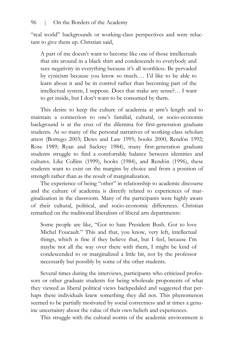"real world" backgrounds or working-class perspectives and were reluctant to give them up. Christian said,

A part of me doesn't want to become like one of those intellectuals that sits around in a black shirt and condescends to everybody and sees negativity in everything because it's all worthless. Be pervaded by cynicism because you know so much.… I'd like to be able to learn about it and be in control rather than becoming part of the intellectual system, I suppose. Does that make any sense?… I want to get inside, but I don't want to be consumed by them.

This desire to keep the culture of academia at arm's length and to maintain a connection to one's familial, cultural, or socio-economic background is at the crux of the dilemma for first-generation graduate students. As so many of the personal narratives of working-class scholars attest (Borrego 2003; Dews and Law 1995; hooks 2000; Rendón 1992; Rose 1989; Ryan and Sackrey 1984), many first-generation graduate students struggle to find a comfortable balance between identities and cultures. Like Collins (1999), hooks (1984), and Rendón (1996), these students want to exist on the margins by choice and from a position of strength rather than as the result of marginalization.

The experience of being "other" in relationship to academic discourse and the culture of academia is directly related to experiences of marginalization in the classroom. Many of the participants were highly aware of their cultural, political, and socio-economic differences. Christian remarked on the traditional liberalism of liberal arts departments:

Some people are like, "Got to hate President Bush. Got to love Michel Foucault." This and that, you know, very left, intellectual things, which is fine if they believe that, but I feel, because I'm maybe not all the way over there with them, I might be kind of condescended to or marginalized a little bit, not by the professor necessarily but possibly by some of the other students.

Several times during the interviews, participants who criticized professors or other graduate students for being wholesale proponents of what they viewed as liberal political views backpedaled and suggested that perhaps these individuals knew something they did not. This phenomenon seemed to be partially motivated by social correctness and at times a genuine uncertainty about the value of their own beliefs and experiences.

This struggle with the cultural norms of the academic environment is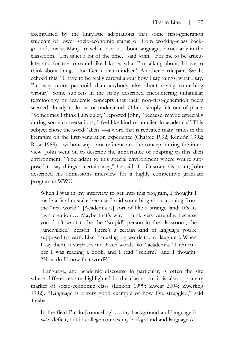exemplified by the linguistic adaptations that some first-generation students of lower socio-economic status or from working-class backgrounds make. Many are self-conscious about language, particularly in the classroom. "I'm quiet a lot of the time," said John. "For me to be articulate, and for me to sound like I know what I'm talking about, I have to think about things a lot. Get in that mindset." Another participant, Sarah, echoed this: "I have to be really careful about how I say things, what I say. I'm way more paranoid than anybody else about saying something wrong." Some subjects in the study described encountering unfamiliar terminology or academic concepts that their non-first-generation peers seemed already to know or understand. Others simply felt out of place. "Sometimes I think I am quiet," reported John, "because, maybe especially during some conversations, I feel like kind of an alien in academia." This subject chose the word "alien"—a word that is repeated many times in the literature on the first-generation experience (Chaffee 1992; Rendón 1992; Rose 1989)—without any prior reference to the concept during the interview. John went on to describe the importance of adapting to this alien environment. "You adapt to this special environment where you're supposed to say things a certain way," he said. To illustrate his point, John described his admissions interview for a highly competitive graduate program at WWU:

When I was in my interview to get into this program, I thought I made a fatal mistake because I said something about coming from the "real world." [Academia is] sort of like a strange land. It's its own creation.… Maybe that's why I think very carefully, because you don't want to be the "stupid" person in the classroom, the "uncivilized" person. There's a certain kind of language you're supposed to learn. Like I'm using big words today [laughter]. When I say them, it surprises me. Even words like "academia." I remember I was reading a book, and I read "schism," and I thought, "How do I know that word?"

Language, and academic discourse in particular, is often the site where differences are highlighted in the classroom; it is also a primary marker of socio-economic class (Linkon 1999; Zweig 2004; Zwerling 1992). "Language is a very good example of how I've struggled," said Trisha.

In the field I'm in [counseling] … my background and language is *not* a deficit, but in college courses my background and language *is* a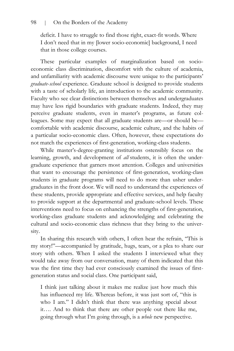#### 98 | On the Borders of the Academy

deficit. I have to struggle to find those right, exact-fit words. Where I don't need that in my [lower socio-economic] background, I need that in those college courses.

These particular examples of marginalization based on socioeconomic class discrimination, discomfort with the culture of academia, and unfamiliarity with academic discourse were unique to the participants' *graduate*-*school* experience. Graduate school is designed to provide students with a taste of scholarly life, an introduction to the academic community. Faculty who see clear distinctions between themselves and undergraduates may have less rigid boundaries with graduate students. Indeed, they may perceive graduate students, even in master's programs, as future colleagues. Some may expect that all graduate students are—or should be comfortable with academic discourse, academic culture, and the habits of a particular socio-economic class. Often, however, these expectations do not match the experiences of first-generation, working-class students.

While master's-degree-granting institutions ostensibly focus on the learning, growth, and development of *all* students, it is often the undergraduate experience that garners most attention. Colleges and universities that want to encourage the persistence of first-generation, working-class students in graduate programs will need to do more than usher undergraduates in the front door. We will need to understand the experiences of these students, provide appropriate and effective services, and help faculty to provide support at the departmental and graduate-school levels. These interventions need to focus on enhancing the strengths of first-generation, working-class graduate students and acknowledging and celebrating the cultural and socio-economic class richness that they bring to the university.

In sharing this research with others, I often hear the refrain, "This is my story!"—accompanied by gratitude, hugs, tears, or a plea to share our story with others. When I asked the students I interviewed what they would take away from our conversation, many of them indicated that this was the first time they had ever consciously examined the issues of firstgeneration status and social class. One participant said,

I think just talking about it makes me realize just how much this has influenced my life. Whereas before, it was just sort of, "this is who I am." I didn't think that there was anything special about it…. And to think that there are other people out there like me, going through what I'm going through, is a *whole* new perspective.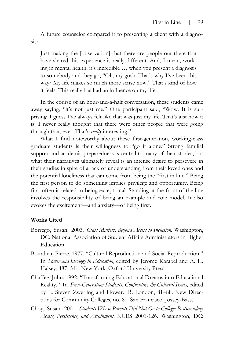A future counselor compared it to presenting a client with a diagnosis:

Just making the [observation] that there are people out there that have shared this experience is really different. And, I mean, working in mental health, it's incredible … when you present a diagnosis to somebody and they go, "Oh, my gosh. That's why I've been this way? My life makes so much more sense now." That's kind of how it feels. This really has had an influence on my life.

In the course of an hour-and-a-half conversation, these students came away saying, "it's not just me." One participant said, "Wow. It is surprising. I guess I've always felt like that was just my life. That's just how it is. I never really thought that there were other people that were going through that, ever. That's *really* interesting."

What I find noteworthy about these first-generation, working-class graduate students is their willingness to "go it alone." Strong familial support and academic preparedness is central to many of their stories, but what their narratives ultimately reveal is an intense desire to persevere in their studies in spite of a lack of understanding from their loved ones and the potential loneliness that can come from being the "first in line." Being the first person to do something implies privilege and opportunity. Being first often is related to being exceptional. Standing at the front of the line involves the responsibility of being an example and role model. It also evokes the excitement—and anxiety—of being first.

#### **Works Cited**

- Borrego, Susan. 2003. *Class Matters: Beyond Access to Inclusion.* Washington, DC: National Association of Student Affairs Administrators in Higher Education.
- Bourdieu, Pierre. 1977. "Cultural Reproduction and Social Reproduction." In *Power and Ideology in Education,* edited by Jerome Karabel and A. H. Halsey, 487–511. New York: Oxford University Press.
- Chaffee, John. 1992. "Transforming Educational Dreams into Educational Reality." In *First-Generation Students: Confronting the Cultural Issues,* edited by L. Steven Zwerling and Howard B. London, 81–88. New Directions for Community Colleges, no. 80. San Francisco: Jossey-Bass.
- Choy, Susan. 2001. *Students Whose Parents Did Not Go to College: Postsecondary Access, Persistence, and Attainment.* NCES 2001-126. Washington, DC: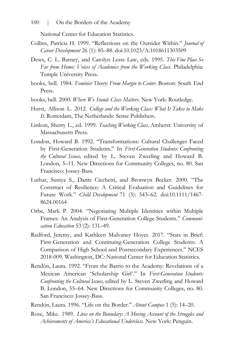National Center for Education Statistics.

- Collins, Patricia H. 1999. "Reflections on the Outsider Within." *Journal of Career Development* 26 (1): 85–88. doi:10.1023/A:1018611303509
- Dews, C. L. Barney, and Carolyn Leste Law, eds. 1995. *This Fine Place So Far from Home: Voices of Academics from the Working Class.* Philadelphia: Temple University Press.
- hooks, bell. 1984. *Feminist Theory: From Margin to Center.* Boston: South End Press.
- hooks, bell. 2000. *Where We Stand: Class Matters.* New York: Routledge.
- Hurst, Allison L. 2012. *College and the Working Class: What It Takes to Make It.* Rotterdam, The Netherlands: Sense Publishers.
- Linkon, Sherry L., ed. 1999. *Teaching Working Class.* Amherst: University of Massachusetts Press.
- London, Howard B. 1992. "Transformations: Cultural Challenges Faced by First-Generation Students." In *First-Generation Students: Confronting the Cultural Issues,* edited by L. Steven Zwerling and Howard B. London, 5–11. New Directions for Community Colleges, no. 80. San Francisco: Jossey-Bass.
- Luthar, Suniya S., Dante Cicchetti, and Bronwyn Becker. 2000. "The Construct of Resilience: A Critical Evaluation and Guidelines for Future Work." *Child Development* 71 (3): 543–62. doi:10.1111/1467- 8624.00164
- Orbe, Mark P. 2004. "Negotiating Multiple Identities within Multiple Frames: An Analysis of First-Generation College Students." *Communication Education* 53 (2): 131–49.
- Redford, Jeremy, and Kathleen Mulvaney Hoyer. 2017. "Stats in Brief: First-Generation and Continuing-Generation College Students: A Comparison of High School and Postsecondary Experiences." NCES 2018-009. Washington, DC: National Center for Education Statistics.
- Rendón, Laura. 1992. "From the Barrio to the Academy: Revelations of a Mexican American ʻScholarship Girl'." In *First-Generation Students: Confronting the Cultural Issues,* edited by L. Steven Zwerling and Howard B. London, 55–64. New Directions for Community Colleges, no. 80. San Francisco: Jossey-Bass.
- Rendón, Laura. 1996. "Life on the Border." *About Campus* 1 (5): 14–20.
- Rose, Mike. 1989. *Lives on the Boundary: A Moving Account of the Struggles and Achievements of America's Educational Underclass.* New York: Penguin.